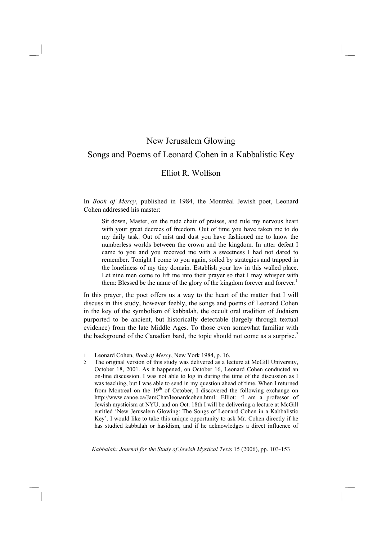# New Jerusalem Glowing Songs and Poems of Leonard Cohen in a Kabbalistic Key

# Elliot R. Wolfson

In *Book of Mercy*, published in 1984, the Montréal Jewish poet, Leonard Cohen addressed his master:

Sit down, Master, on the rude chair of praises, and rule my nervous heart with your great decrees of freedom. Out of time you have taken me to do my daily task. Out of mist and dust you have fashioned me to know the numberless worlds between the crown and the kingdom. In utter defeat I came to you and you received me with a sweetness I had not dared to remember. Tonight I come to you again, soiled by strategies and trapped in the loneliness of my tiny domain. Establish your law in this walled place. Let nine men come to lift me into their prayer so that I may whisper with them: Blessed be the name of the glory of the kingdom forever and forever.<sup>1</sup>

In this prayer, the poet offers us a way to the heart of the matter that I will discuss in this study, however feebly, the songs and poems of Leonard Cohen in the key of the symbolism of kabbalah, the occult oral tradition of Judaism purported to be ancient, but historically detectable (largely through textual evidence) from the late Middle Ages. To those even somewhat familiar with the background of the Canadian bard, the topic should not come as a surprise.<sup>2</sup>

1 Leonard Cohen, *Book of Mercy*, New York 1984, p. 16.

2 The original version of this study was delivered as a lecture at McGill University, October 18, 2001. As it happened, on October 16, Leonard Cohen conducted an on-line discussion. I was not able to log in during the time of the discussion as I was teaching, but I was able to send in my question ahead of time. When I returned from Montreal on the  $19<sup>th</sup>$  of October, I discovered the following exchange on http://www.canoe.ca/JamChat/leonardcohen.html: Elliot: 'I am a professor of Jewish mysticism at NYU, and on Oct. 18th I will be delivering a lecture at McGill entitled 'New Jerusalem Glowing: The Songs of Leonard Cohen in a Kabbalistic Key'. I would like to take this unique opportunity to ask Mr. Cohen directly if he has studied kabbalah or hasidism, and if he acknowledges a direct influence of

*Kabbalah: Journal for the Study of Jewish Mystical Texts* 15 (2006), pp. 103-153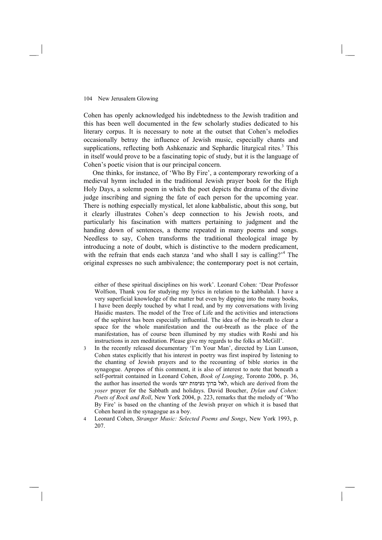Cohen has openly acknowledged his indebtedness to the Jewish tradition and this has been well documented in the few scholarly studies dedicated to his literary corpus. It is necessary to note at the outset that Cohen's melodies occasionally betray the influence of Jewish music, especially chants and supplications, reflecting both Ashkenazic and Sephardic liturgical rites. $3$  This in itself would prove to be a fascinating topic of study, but it is the language of Cohen's poetic vision that is our principal concern.

One thinks, for instance, of 'Who By Fire', a contemporary reworking of a medieval hymn included in the traditional Jewish prayer book for the High Holy Days, a solemn poem in which the poet depicts the drama of the divine judge inscribing and signing the fate of each person for the upcoming year. There is nothing especially mystical, let alone kabbalistic, about this song, but it clearly illustrates Cohen's deep connection to his Jewish roots, and particularly his fascination with matters pertaining to judgment and the handing down of sentences, a theme repeated in many poems and songs. Needless to say, Cohen transforms the traditional theological image by introducing a note of doubt, which is distinctive to the modern predicament, with the refrain that ends each stanza 'and who shall I say is calling?<sup>4</sup> The original expresses no such ambivalence; the contemporary poet is not certain,

either of these spiritual disciplines on his work'. Leonard Cohen: 'Dear Professor Wolfson, Thank you for studying my lyrics in relation to the kabbalah. I have a very superficial knowledge of the matter but even by dipping into the many books, I have been deeply touched by what I read, and by my conversations with living Hasidic masters. The model of the Tree of Life and the activities and interactions of the sephirot has been especially influential. The idea of the in-breath to clear a space for the whole manifestation and the out-breath as the place of the manifestation, has of course been illumined by my studies with Roshi and his instructions in zen meditation. Please give my regards to the folks at McGill'.

- 3 In the recently released documentary 'I'm Your Man', directed by Lian Lunson, Cohen states explicitly that his interest in poetry was first inspired by listening to the chanting of Jewish prayers and to the recounting of bible stories in the synagogue. Apropos of this comment, it is also of interest to note that beneath a self-portrait contained in Leonard Cohen, *Book of Longing*, Toronto 2006, p. 36, the author has inserted the words יתנו נעימות ברוך לאל, which are derived from the *yoser* prayer for the Sabbath and holidays. David Boucher, *Dylan and Cohen: Poets of Rock and Roll*, New York 2004, p. 223, remarks that the melody of 'Who By Fire' is based on the chanting of the Jewish prayer on which it is based that Cohen heard in the synagogue as a boy.
- 4 Leonard Cohen, *Stranger Music: Selected Poems and Songs*, New York 1993, p. 207.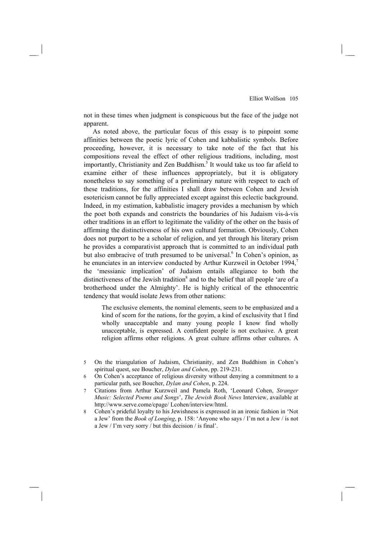not in these times when judgment is conspicuous but the face of the judge not apparent.

As noted above, the particular focus of this essay is to pinpoint some affinities between the poetic lyric of Cohen and kabbalistic symbols. Before proceeding, however, it is necessary to take note of the fact that his compositions reveal the effect of other religious traditions, including, most importantly, Christianity and Zen Buddhism.<sup>5</sup> It would take us too far afield to examine either of these influences appropriately, but it is obligatory nonetheless to say something of a preliminary nature with respect to each of these traditions, for the affinities I shall draw between Cohen and Jewish esotericism cannot be fully appreciated except against this eclectic background. Indeed, in my estimation, kabbalistic imagery provides a mechanism by which the poet both expands and constricts the boundaries of his Judaism vis-à-vis other traditions in an effort to legitimate the validity of the other on the basis of affirming the distinctiveness of his own cultural formation. Obviously, Cohen does not purport to be a scholar of religion, and yet through his literary prism he provides a comparativist approach that is committed to an individual path but also embracive of truth presumed to be universal.<sup>6</sup> In Cohen's opinion, as he enunciates in an interview conducted by Arthur Kurzweil in October 1994,<sup>7</sup> the 'messianic implication' of Judaism entails allegiance to both the distinctiveness of the Jewish tradition<sup>8</sup> and to the belief that all people 'are of a brotherhood under the Almighty'. He is highly critical of the ethnocentric tendency that would isolate Jews from other nations:

The exclusive elements, the nominal elements, seem to be emphasized and a kind of scorn for the nations, for the goyim, a kind of exclusivity that I find wholly unacceptable and many young people I know find wholly unacceptable, is expressed. A confident people is not exclusive. A great religion affirms other religions. A great culture affirms other cultures. A

- 5 On the triangulation of Judaism, Christianity, and Zen Buddhism in Cohen's spiritual quest, see Boucher, *Dylan and Cohen*, pp. 219-231.
- 6 On Cohen's acceptance of religious diversity without denying a commitment to a particular path, see Boucher, *Dylan and Cohen*, p. 224.
- 7 Citations from Arthur Kurzweil and Pamela Roth, 'Leonard Cohen, *Stranger Music: Selected Poems and Songs*', *The Jewish Book News* Interview, available at http://www.serve.come/cpage/ Lcohen/interview/html.
- 8 Cohen's prideful loyalty to his Jewishness is expressed in an ironic fashion in 'Not a Jew' from the *Book of Longing*, p. 158: 'Anyone who says / I'm not a Jew / is not a Jew / I'm very sorry / but this decision / is final'.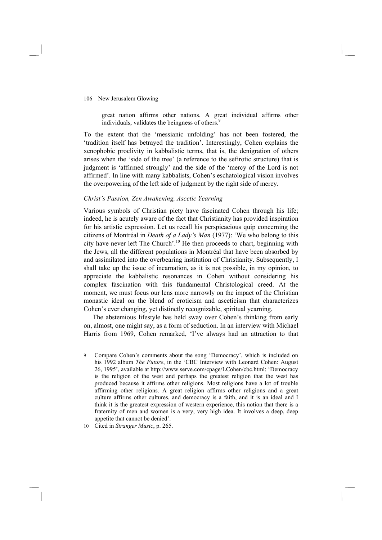great nation affirms other nations. A great individual affirms other individuals, validates the beingness of others.<sup>9</sup>

To the extent that the 'messianic unfolding' has not been fostered, the 'tradition itself has betrayed the tradition'. Interestingly, Cohen explains the xenophobic proclivity in kabbalistic terms, that is, the denigration of others arises when the 'side of the tree' (a reference to the sefirotic structure) that is judgment is 'affirmed strongly' and the side of the 'mercy of the Lord is not affirmed'. In line with many kabbalists, Cohen's eschatological vision involves the overpowering of the left side of judgment by the right side of mercy.

# *Christ's Passion, Zen Awakening, Ascetic Yearning*

Various symbols of Christian piety have fascinated Cohen through his life; indeed, he is acutely aware of the fact that Christianity has provided inspiration for his artistic expression. Let us recall his perspicacious quip concerning the citizens of Montréal in *Death of a Lady's Man* (1977): 'We who belong to this city have never left The Church'.10 He then proceeds to chart, beginning with the Jews, all the different populations in Montréal that have been absorbed by and assimilated into the overbearing institution of Christianity. Subsequently, I shall take up the issue of incarnation, as it is not possible, in my opinion, to appreciate the kabbalistic resonances in Cohen without considering his complex fascination with this fundamental Christological creed. At the moment, we must focus our lens more narrowly on the impact of the Christian monastic ideal on the blend of eroticism and asceticism that characterizes Cohen's ever changing, yet distinctly recognizable, spiritual yearning.

The abstemious lifestyle has held sway over Cohen's thinking from early on, almost, one might say, as a form of seduction. In an interview with Michael Harris from 1969, Cohen remarked, 'I've always had an attraction to that

9 Compare Cohen's comments about the song 'Democracy', which is included on his 1992 album *The Future*, in the 'CBC Interview with Leonard Cohen: August 26, 1995', available at http://www.serve.com/cpage/LCohen/cbc.html: 'Democracy is the religion of the west and perhaps the greatest religion that the west has produced because it affirms other religions. Most religions have a lot of trouble affirming other religions. A great religion affirms other religions and a great culture affirms other cultures, and democracy is a faith, and it is an ideal and I think it is the greatest expression of western experience, this notion that there is a fraternity of men and women is a very, very high idea. It involves a deep, deep appetite that cannot be denied'.

<sup>10</sup> Cited in *Stranger Music*, p. 265.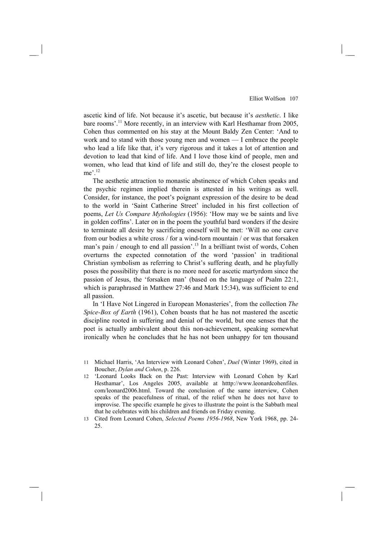ascetic kind of life. Not because it's ascetic, but because it's *aesthetic*. I like bare rooms'.<sup>11</sup> More recently, in an interview with Karl Hesthamar from 2005, Cohen thus commented on his stay at the Mount Baldy Zen Center: 'And to work and to stand with those young men and women — I embrace the people who lead a life like that, it's very rigorous and it takes a lot of attention and devotion to lead that kind of life. And I love those kind of people, men and women, who lead that kind of life and still do, they're the closest people to me'.12

The aesthetic attraction to monastic abstinence of which Cohen speaks and the psychic regimen implied therein is attested in his writings as well. Consider, for instance, the poet's poignant expression of the desire to be dead to the world in 'Saint Catherine Street' included in his first collection of poems, *Let Us Compare Mythologies* (1956): 'How may we be saints and live in golden coffins'. Later on in the poem the youthful bard wonders if the desire to terminate all desire by sacrificing oneself will be met: 'Will no one carve from our bodies a white cross / for a wind-torn mountain / or was that forsaken man's pain / enough to end all passion'.<sup>13</sup> In a brilliant twist of words, Cohen overturns the expected connotation of the word 'passion' in traditional Christian symbolism as referring to Christ's suffering death, and he playfully poses the possibility that there is no more need for ascetic martyrdom since the passion of Jesus, the 'forsaken man' (based on the language of Psalm 22:1, which is paraphrased in Matthew 27:46 and Mark 15:34), was sufficient to end all passion.

In 'I Have Not Lingered in European Monasteries', from the collection *The Spice-Box of Earth* (1961), Cohen boasts that he has not mastered the ascetic discipline rooted in suffering and denial of the world, but one senses that the poet is actually ambivalent about this non-achievement, speaking somewhat ironically when he concludes that he has not been unhappy for ten thousand

- 12 'Leonard Looks Back on the Past: Interview with Leonard Cohen by Karl Hesthamar', Los Angeles 2005, available at htttp://www.leonardcohenfiles. com/leonard2006.html. Toward the conclusion of the same interview, Cohen speaks of the peacefulness of ritual, of the relief when he does not have to improvise. The specific example he gives to illustrate the point is the Sabbath meal that he celebrates with his children and friends on Friday evening.
- 13 Cited from Leonard Cohen, *Selected Poems 1956-1968*, New York 1968, pp. 24- 25.

<sup>11</sup> Michael Harris, 'An Interview with Leonard Cohen', *Duel* (Winter 1969), cited in Boucher, *Dylan and Cohen*, p. 226.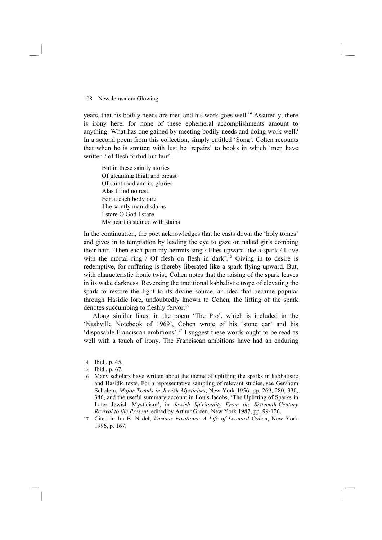years, that his bodily needs are met, and his work goes well.<sup>14</sup> Assuredly, there is irony here, for none of these ephemeral accomplishments amount to anything. What has one gained by meeting bodily needs and doing work well? In a second poem from this collection, simply entitled 'Song', Cohen recounts that when he is smitten with lust he 'repairs' to books in which 'men have written / of flesh forbid but fair'.

But in these saintly stories Of gleaming thigh and breast Of sainthood and its glories Alas I find no rest. For at each body rare The saintly man disdains I stare O God I stare My heart is stained with stains

In the continuation, the poet acknowledges that he casts down the 'holy tomes' and gives in to temptation by leading the eye to gaze on naked girls combing their hair. 'Then each pain my hermits sing / Flies upward like a spark / I live with the mortal ring / Of flesh on flesh in dark'.<sup>15</sup> Giving in to desire is redemptive, for suffering is thereby liberated like a spark flying upward. But, with characteristic ironic twist, Cohen notes that the raising of the spark leaves in its wake darkness. Reversing the traditional kabbalistic trope of elevating the spark to restore the light to its divine source, an idea that became popular through Hasidic lore, undoubtedly known to Cohen, the lifting of the spark denotes succumbing to fleshly fervor.<sup>16</sup>

Along similar lines, in the poem 'The Pro', which is included in the 'Nashville Notebook of 1969', Cohen wrote of his 'stone ear' and his 'disposable Franciscan ambitions'.<sup>17</sup> I suggest these words ought to be read as well with a touch of irony. The Franciscan ambitions have had an enduring

<sup>14</sup> Ibid., p. 45.

<sup>15</sup> Ibid., p. 67.

<sup>16</sup> Many scholars have written about the theme of uplifting the sparks in kabbalistic and Hasidic texts. For a representative sampling of relevant studies, see Gershom Scholem, *Major Trends in Jewish Mysticism*, New York 1956, pp. 269, 280, 330, 346, and the useful summary account in Louis Jacobs, 'The Uplifting of Sparks in Later Jewish Mysticism', in *Jewish Spirituality From the Sixteenth-Century Revival to the Present*, edited by Arthur Green, New York 1987, pp. 99-126.

<sup>17</sup> Cited in Ira B. Nadel, *Various Positions: A Life of Leonard Cohen*, New York 1996, p. 167.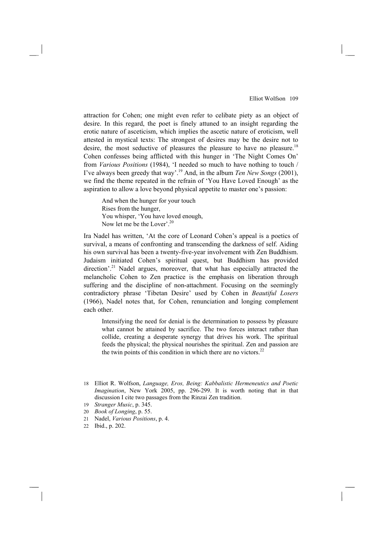attraction for Cohen; one might even refer to celibate piety as an object of desire. In this regard, the poet is finely attuned to an insight regarding the erotic nature of asceticism, which implies the ascetic nature of eroticism, well attested in mystical texts: The strongest of desires may be the desire not to desire, the most seductive of pleasures the pleasure to have no pleasure.<sup>18</sup> Cohen confesses being afflicted with this hunger in 'The Night Comes On' from *Various Positions* (1984), 'I needed so much to have nothing to touch / I've always been greedy that way'.19 And, in the album *Ten New Songs* (2001), we find the theme repeated in the refrain of 'You Have Loved Enough' as the aspiration to allow a love beyond physical appetite to master one's passion:

And when the hunger for your touch Rises from the hunger, You whisper, 'You have loved enough, Now let me be the Lover'.<sup>20</sup>

Ira Nadel has written, 'At the core of Leonard Cohen's appeal is a poetics of survival, a means of confronting and transcending the darkness of self. Aiding his own survival has been a twenty-five-year involvement with Zen Buddhism. Judaism initiated Cohen's spiritual quest, but Buddhism has provided direction'.<sup>21</sup> Nadel argues, moreover, that what has especially attracted the melancholic Cohen to Zen practice is the emphasis on liberation through suffering and the discipline of non-attachment. Focusing on the seemingly contradictory phrase 'Tibetan Desire' used by Cohen in *Beautiful Losers* (1966), Nadel notes that, for Cohen, renunciation and longing complement each other.

Intensifying the need for denial is the determination to possess by pleasure what cannot be attained by sacrifice. The two forces interact rather than collide, creating a desperate synergy that drives his work. The spiritual feeds the physical; the physical nourishes the spiritual. Zen and passion are the twin points of this condition in which there are no victors. $^{22}$ 

- 18 Elliot R. Wolfson, *Language, Eros, Being: Kabbalistic Hermeneutics and Poetic Imagination*, New York 2005, pp. 296-299. It is worth noting that in that discussion I cite two passages from the Rinzai Zen tradition.
- 19 *Stranger Music*, p. 345.
- 20 *Book of Longing*, p. 55.
- 21 Nadel, *Various Positions*, p. 4.
- 22 Ibid., p. 202.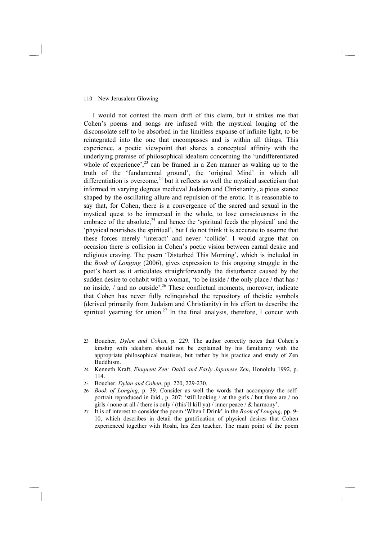I would not contest the main drift of this claim, but it strikes me that Cohen's poems and songs are infused with the mystical longing of the disconsolate self to be absorbed in the limitless expanse of infinite light, to be reintegrated into the one that encompasses and is within all things. This experience, a poetic viewpoint that shares a conceptual affinity with the underlying premise of philosophical idealism concerning the 'undifferentiated whole of experience',  $23$  can be framed in a Zen manner as waking up to the truth of the 'fundamental ground', the 'original Mind' in which all differentiation is overcome,<sup>24</sup> but it reflects as well the mystical asceticism that informed in varying degrees medieval Judaism and Christianity, a pious stance shaped by the oscillating allure and repulsion of the erotic. It is reasonable to say that, for Cohen, there is a convergence of the sacred and sexual in the mystical quest to be immersed in the whole, to lose consciousness in the embrace of the absolute,<sup>25</sup> and hence the 'spiritual feeds the physical' and the 'physical nourishes the spiritual', but I do not think it is accurate to assume that these forces merely 'interact' and never 'collide'. I would argue that on occasion there is collision in Cohen's poetic vision between carnal desire and religious craving. The poem 'Disturbed This Morning', which is included in the *Book of Longing* (2006), gives expression to this ongoing struggle in the poet's heart as it articulates straightforwardly the disturbance caused by the sudden desire to cohabit with a woman, 'to be inside / the only place / that has / no inside, / and no outside'.26 These conflictual moments, moreover, indicate that Cohen has never fully relinquished the repository of theistic symbols (derived primarily from Judaism and Christianity) in his effort to describe the spiritual yearning for union.<sup>27</sup> In the final analysis, therefore, I concur with

- 23 Boucher, *Dylan and Cohen*, p. 229. The author correctly notes that Cohen's kinship with idealism should not be explained by his familiarity with the appropriate philosophical treatises, but rather by his practice and study of Zen Buddhism.
- 24 Kenneth Kraft, *Eloquent Zen: Daitō and Early Japanese Zen*, Honolulu 1992, p. 114.
- 25 Boucher, *Dylan and Cohen*, pp. 220, 229-230.
- 26 *Book of Longing*, p. 39. Consider as well the words that accompany the selfportrait reproduced in ibid., p. 207: 'still looking / at the girls / but there are / no girls / none at all / there is only / (this'll kill ya) / inner peace / & harmony'.
- 27 It is of interest to consider the poem 'When I Drink' in the *Book of Longing*, pp. 9- 10, which describes in detail the gratification of physical desires that Cohen experienced together with Roshi, his Zen teacher. The main point of the poem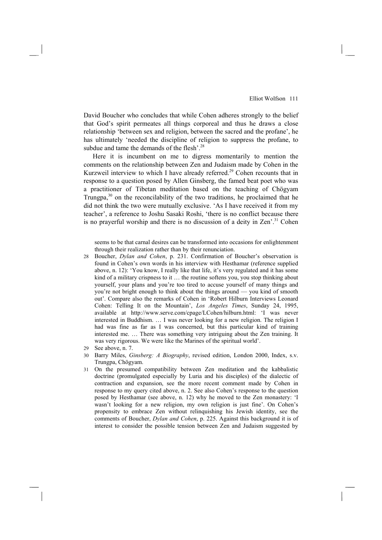David Boucher who concludes that while Cohen adheres strongly to the belief that God's spirit permeates all things corporeal and thus he draws a close relationship 'between sex and religion, between the sacred and the profane', he has ultimately 'needed the discipline of religion to suppress the profane, to subdue and tame the demands of the flesh'.<sup>28</sup>

Here it is incumbent on me to digress momentarily to mention the comments on the relationship between Zen and Judaism made by Cohen in the Kurzweil interview to which I have already referred.<sup>29</sup> Cohen recounts that in response to a question posed by Allen Ginsberg, the famed beat poet who was a practitioner of Tibetan meditation based on the teaching of Chögyam Trungpa, $30$  on the reconcilability of the two traditions, he proclaimed that he did not think the two were mutually exclusive. 'As I have received it from my teacher', a reference to Joshu Sasaki Roshi, 'there is no conflict because there is no prayerful worship and there is no discussion of a deity in  $\text{Zen'}^3$  Cohen

seems to be that carnal desires can be transformed into occasions for enlightenment through their realization rather than by their renunciation.

28 Boucher, *Dylan and Cohen*, p. 231. Confirmation of Boucher's observation is found in Cohen's own words in his interview with Hesthamar (reference supplied above, n. 12): 'You know, I really like that life, it's very regulated and it has some kind of a military crispness to it … the routine softens you, you stop thinking about yourself, your plans and you're too tired to accuse yourself of many things and you're not bright enough to think about the things around — you kind of smooth out'. Compare also the remarks of Cohen in 'Robert Hilburn Interviews Leonard Cohen: Telling It on the Mountain', *Los Angeles Times*, Sunday 24, 1995, available at http://www.serve.com/cpage/LCohen/hilburn.html: 'I was never interested in Buddhism. … I was never looking for a new religion. The religion I had was fine as far as I was concerned, but this particular kind of training interested me. … There was something very intriguing about the Zen training. It was very rigorous. We were like the Marines of the spiritual world'.

- 30 Barry Miles, *Ginsberg: A Biography*, revised edition, London 2000, Index, s.v. Trungpa, Chögyam.
- 31 On the presumed compatibility between Zen meditation and the kabbalistic doctrine (promulgated especially by Luria and his disciples) of the dialectic of contraction and expansion, see the more recent comment made by Cohen in response to my query cited above, n. 2. See also Cohen's response to the question posed by Hesthamar (see above, n. 12) why he moved to the Zen monastery: 'I wasn't looking for a new religion, my own religion is just fine'. On Cohen's propensity to embrace Zen without relinquishing his Jewish identity, see the comments of Boucher, *Dylan and Cohen*, p. 225. Against this background it is of interest to consider the possible tension between Zen and Judaism suggested by

<sup>29</sup> See above, n. 7.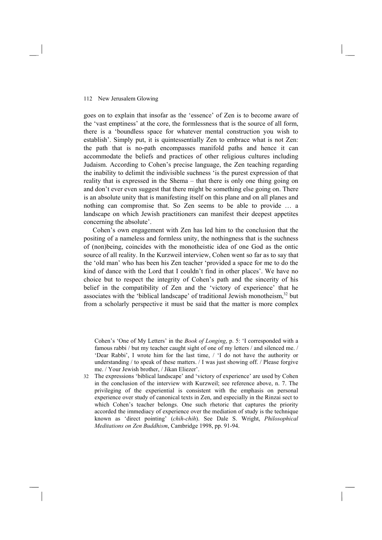goes on to explain that insofar as the 'essence' of Zen is to become aware of the 'vast emptiness' at the core, the formlessness that is the source of all form, there is a 'boundless space for whatever mental construction you wish to establish'. Simply put, it is quintessentially Zen to embrace what is not Zen: the path that is no-path encompasses manifold paths and hence it can accommodate the beliefs and practices of other religious cultures including Judaism. According to Cohen's precise language, the Zen teaching regarding the inability to delimit the indivisible suchness 'is the purest expression of that reality that is expressed in the Shema – that there is only one thing going on and don't ever even suggest that there might be something else going on. There is an absolute unity that is manifesting itself on this plane and on all planes and nothing can compromise that. So Zen seems to be able to provide … a landscape on which Jewish practitioners can manifest their deepest appetites concerning the absolute'.

Cohen's own engagement with Zen has led him to the conclusion that the positing of a nameless and formless unity, the nothingness that is the suchness of (non)being, coincides with the monotheistic idea of one God as the ontic source of all reality. In the Kurzweil interview, Cohen went so far as to say that the 'old man' who has been his Zen teacher 'provided a space for me to do the kind of dance with the Lord that I couldn't find in other places'. We have no choice but to respect the integrity of Cohen's path and the sincerity of his belief in the compatibility of Zen and the 'victory of experience' that he associates with the 'biblical landscape' of traditional Jewish monotheism,<sup>32</sup> but from a scholarly perspective it must be said that the matter is more complex

Cohen's 'One of My Letters' in the *Book of Longing*, p. 5: 'I corresponded with a famous rabbi / but my teacher caught sight of one of my letters / and silenced me. / 'Dear Rabbi', I wrote him for the last time, / 'I do not have the authority or understanding / to speak of these matters. / I was just showing off. / Please forgive me. / Your Jewish brother, / Jikan Eliezer'.

32 The expressions 'biblical landscape' and 'victory of experience' are used by Cohen in the conclusion of the interview with Kurzweil; see reference above, n. 7. The privileging of the experiential is consistent with the emphasis on personal experience over study of canonical texts in Zen, and especially in the Rinzai sect to which Cohen's teacher belongs. One such rhetoric that captures the priority accorded the immediacy of experience over the mediation of study is the technique known as 'direct pointing' (*chih-chih*). See Dale S. Wright, *Philosophical Meditations on Zen Buddhism*, Cambridge 1998, pp. 91-94.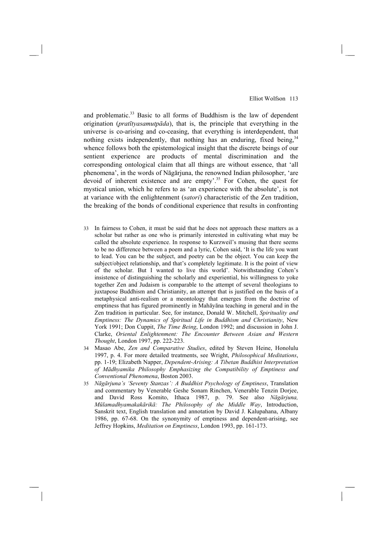and problematic. $33$  Basic to all forms of Buddhism is the law of dependent origination (*pratītyasamutpāda*), that is, the principle that everything in the universe is co-arising and co-ceasing, that everything is interdependent, that nothing exists independently, that nothing has an enduring, fixed being,  $34$ whence follows both the epistemological insight that the discrete beings of our sentient experience are products of mental discrimination and the corresponding ontological claim that all things are without essence, that 'all phenomena', in the words of Nāgārjuna, the renowned Indian philosopher, 'are devoid of inherent existence and are empty'.<sup>35</sup> For Cohen, the quest for mystical union, which he refers to as 'an experience with the absolute', is not at variance with the enlightenment (*satori*) characteristic of the Zen tradition, the breaking of the bonds of conditional experience that results in confronting

- 33 In fairness to Cohen, it must be said that he does not approach these matters as a scholar but rather as one who is primarily interested in cultivating what may be called the absolute experience. In response to Kurzweil's musing that there seems to be no difference between a poem and a lyric, Cohen said, 'It is the life you want to lead. You can be the subject, and poetry can be the object. You can keep the subject/object relationship, and that's completely legitimate. It is the point of view of the scholar. But I wanted to live this world'. Notwithstanding Cohen's insistence of distinguishing the scholarly and experiential, his willingness to yoke together Zen and Judaism is comparable to the attempt of several theologians to juxtapose Buddhism and Christianity, an attempt that is justified on the basis of a metaphysical anti-realism or a meontology that emerges from the doctrine of emptiness that has figured prominently in Mahāyāna teaching in general and in the Zen tradition in particular. See, for instance, Donald W. Mitchell, *Spirituality and Emptiness: The Dynamics of Spiritual Life in Buddhism and Christianity*, New York 1991; Don Cuppit, *The Time Being*, London 1992; and discussion in John J. Clarke, *Oriental Enlightenment: The Encounter Between Asian and Western Thought*, London 1997, pp. 222-223.
- 34 Masao Abe, *Zen and Comparative Studies*, edited by Steven Heine, Honolulu 1997, p. 4. For more detailed treatments, see Wright, *Philosophical Meditations*, pp. 1-19; Elizabeth Napper, *Dependent-Arising: A Tibetan Buddhist Interpretation of Mādhyamika Philosophy Emphasizing the Compatibility of Emptiness and Conventional Phenomena*, Boston 2003.
- 35 *Nāgārjuna's 'Seventy Stanzas': A Buddhist Psychology of Emptiness*, Translation and commentary by Venerable Geshe Sonam Rinchen, Venerable Tenzin Dorjee, and David Ross Komito, Ithaca 1987, p. 79. See also *Nāgārjuna, Mūlamadhyamakakārikā: The Philosophy of the Middle Way*, Introduction, Sanskrit text, English translation and annotation by David J. Kalupahana, Albany 1986, pp. 67-68. On the synonymity of emptiness and dependent-arising, see Jeffrey Hopkins, *Meditation on Emptiness*, London 1993, pp. 161-173.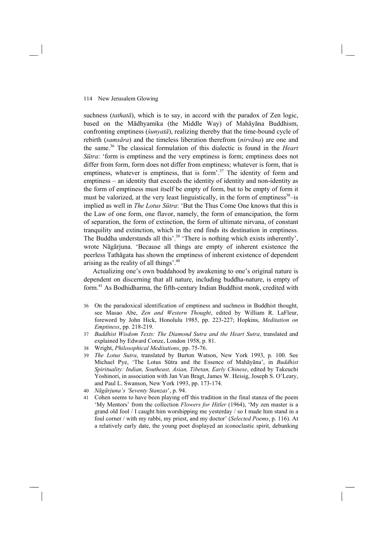suchness (*tathatā*), which is to say, in accord with the paradox of Zen logic, based on the Mādhyamika (the Middle Way) of Mahāyāna Buddhism, confronting emptiness (*śunyatā*), realizing thereby that the time-bound cycle of rebirth (*samsāra*) and the timeless liberation therefrom (*nirvāna*) are one and the same.36 The classical formulation of this dialectic is found in the *Heart Sūtra*: 'form is emptiness and the very emptiness is form; emptiness does not differ from form, form does not differ from emptiness; whatever is form, that is emptiness, whatever is emptiness, that is form'. $37$  The identity of form and emptiness – an identity that exceeds the identity of identity and non-identity as the form of emptiness must itself be empty of form, but to be empty of form it must be valorized, at the very least linguistically, in the form of emptiness<sup>38</sup>-is implied as well in *The Lotus Sūtra*: 'But the Thus Come One knows that this is the Law of one form, one flavor, namely, the form of emancipation, the form of separation, the form of extinction, the form of ultimate nirvana, of constant tranquility and extinction, which in the end finds its destination in emptiness. The Buddha understands all this'.<sup>39</sup> 'There is nothing which exists inherently', wrote Nāgārjuna. 'Because all things are empty of inherent existence the peerless Tathāgata has shown the emptiness of inherent existence of dependent arising as the reality of all things'.40

Actualizing one's own buddahood by awakening to one's original nature is dependent on discerning that all nature, including buddha-nature, is empty of form.41 As Bodhidharma, the fifth-century Indian Buddhist monk, credited with

- 36 On the paradoxical identification of emptiness and suchness in Buddhist thought, see Masao Abe, *Zen and Western Thought*, edited by William R. LaFleur, foreword by John Hick, Honolulu 1985, pp. 223-227; Hopkins, *Meditation on Emptiness*, pp. 218-219.
- 37 *Buddhist Wisdom Texts: The Diamond Sutra and the Heart Sutra*, translated and explained by Edward Conze, London 1958, p. 81.
- 38 Wright, *Philosophical Meditations*, pp. 75-76.
- 39 *The Lotus Sutra*, translated by Burton Watson, New York 1993, p. 100. See Michael Pye, 'The Lotus Sūtra and the Essence of Mahāyāna', in *Buddhist Spirituality: Indian, Southeast, Asian, Tibetan, Early Chinese*, edited by Takeuchi Yoshinori, in association with Jan Van Bragt, James W. Heisig, Joseph S. O'Leary, and Paul L. Swanson, New York 1993, pp. 173-174.
- 40 *Nāgārjuna's 'Seventy Stanzas*', p. 94.
- 41 Cohen seems to have been playing off this tradition in the final stanza of the poem 'My Mentors' from the collection *Flowers for Hitler* (1964), 'My zen master is a grand old fool / I caught him worshipping me yesterday / so I made him stand in a foul corner / with my rabbi, my priest, and my doctor' (*Selected Poems*, p. 116). At a relatively early date, the young poet displayed an iconoclastic spirit, debunking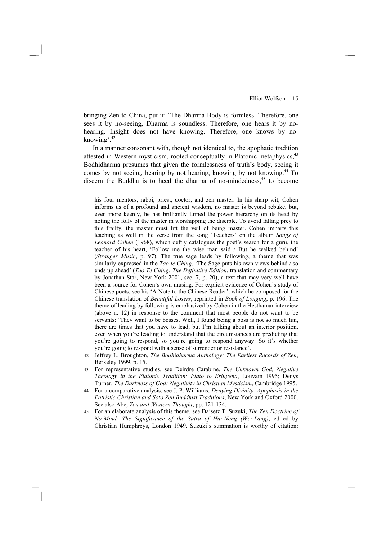bringing Zen to China, put it: 'The Dharma Body is formless. Therefore, one sees it by no-seeing, Dharma is soundless. Therefore, one hears it by nohearing. Insight does not have knowing. Therefore, one knows by noknowing'.42

In a manner consonant with, though not identical to, the apophatic tradition attested in Western mysticism, rooted conceptually in Platonic metaphysics,<sup>43</sup> Bodhidharma presumes that given the formlessness of truth's body, seeing it comes by not seeing, hearing by not hearing, knowing by not knowing.<sup>44</sup> To discern the Buddha is to heed the dharma of no-mindedness,<sup>45</sup> to become

his four mentors, rabbi, priest, doctor, and zen master. In his sharp wit, Cohen informs us of a profound and ancient wisdom, no master is beyond rebuke, but, even more keenly, he has brilliantly turned the power hierarchy on its head by noting the folly of the master in worshipping the disciple. To avoid falling prey to this frailty, the master must lift the veil of being master. Cohen imparts this teaching as well in the verse from the song 'Teachers' on the album *Songs of Leonard Cohen* (1968), which deftly catalogues the poet's search for a guru, the teacher of his heart, 'Follow me the wise man said / But he walked behind' (*Stranger Music*, p. 97). The true sage leads by following, a theme that was similarly expressed in the *Tao te Ching*, 'The Sage puts his own views behind / so ends up ahead' (*Tao Te Ching: The Definitive Edition*, translation and commentary by Jonathan Star, New York 2001, sec. 7, p. 20), a text that may very well have been a source for Cohen's own musing. For explicit evidence of Cohen's study of Chinese poets, see his 'A Note to the Chinese Reader', which he composed for the Chinese translation of *Beautiful Losers*, reprinted in *Book of Longing*, p. 196. The theme of leading by following is emphasized by Cohen in the Hesthamar interview (above n. 12) in response to the comment that most people do not want to be servants: 'They want to be bosses. Well, I found being a boss is not so much fun, there are times that you have to lead, but I'm talking about an interior position, even when you're leading to understand that the circumstances are predicting that you're going to respond, so you're going to respond anyway. So it's whether you're going to respond with a sense of surrender or resistance'.

- 42 Jeffrey L. Broughton, *The Bodhidharma Anthology: The Earliest Records of Zen*, Berkeley 1999, p. 15.
- 43 For representative studies, see Deirdre Carabine, *The Unknown God, Negative Theology in the Platonic Tradition: Plato to Eriugena*, Louvain 1995; Denys Turner, *The Darkness of God: Negativity in Christian Mysticism*, Cambridge 1995.
- 44 For a comparative analysis, see J. P. Williams, *Denying Divinity: Apophasis in the Patristic Christian and Soto Zen Buddhist Traditions*, New York and Oxford 2000. See also Abe, *Zen and Western Thought*, pp. 121-134.
- 45 For an elaborate analysis of this theme, see Daisetz T. Suzuki, *The Zen Doctrine of No-Mind: The Significance of the Sūtra of Hui-Neng (Wei-Lang)*, edited by Christian Humphreys, London 1949. Suzuki's summation is worthy of citation: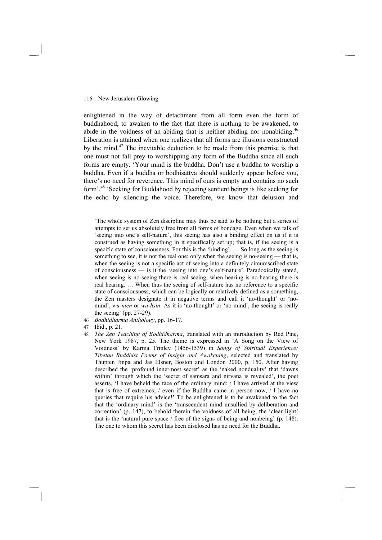enlightened in the way of detachment from all form even the form of buddhahood, to awaken to the fact that there is nothing to be awakened, to abide in the voidness of an abiding that is neither abiding nor nonabiding.<sup>46</sup> Liberation is attained when one realizes that all forms are illusions constructed by the mind.47 The inevitable deduction to be made from this premise is that one must not fall prey to worshipping any form of the Buddha since all such forms are empty. 'Your mind is the buddha. Don't use a buddha to worship a buddha. Even if a buddha or bodhisattva should suddenly appear before you, there's no need for reverence. This mind of ours is empty and contains no such form'.48 'Seeking for Buddahood by rejecting sentient beings is like seeking for the echo by silencing the voice. Therefore, we know that delusion and

'The whole system of Zen discipline may thus be said to be nothing but a series of attempts to set us absolutely free from all forms of bondage. Even when we talk of 'seeing into one's self-nature', this seeing has also a binding effect on us if it is construed as having something in it specifically set up; that is, if the seeing is a specific state of consciousness. For this is the 'binding'. … So long as the seeing is something to see, it is not the real one; only when the seeing is no-seeing — that is, when the seeing is not a specific act of seeing into a definitely circumscribed state of consciousness — is it the 'seeing into one's self-nature'. Paradoxically stated, when seeing is no-seeing there is real seeing; when hearing is no-hearing there is real hearing. … When thus the seeing of self-nature has no reference to a specific state of consciousness, which can be logically or relatively defined as a something, the Zen masters designate it in negative terms and call it 'no-thought' or 'nomind', *wu-nien* or *wu-hsin*. As it is 'no-thought' or 'no-mind', the seeing is really the seeing' (pp. 27-29).

- 46 *Bodhidharma Anthology*, pp. 16-17.
- 47 Ibid., p. 21.
- 48 *The Zen Teaching of Bodhidharma*, translated with an introduction by Red Pine, New York 1987, p. 25. The theme is expressed in 'A Song on the View of Voidness' by Karma Trinley (1456-1539) in *Songs of Spiritual Experience: Tibetan Buddhist Poems of Insight and Awakening*, selected and translated by Thupten Jinpa and Jas Elsner, Boston and London 2000, p. 150. After having described the 'profound innermost secret' as the 'naked nonduality' that 'dawns within' through which the 'secret of samsara and nirvana is revealed', the poet asserts, 'I have beheld the face of the ordinary mind; / I have arrived at the view that is free of extremes; / even if the Buddha came in person now, / I have no queries that require his advice!' To be enlightened is to be awakened to the fact that the 'ordinary mind' is the 'transcendent mind unsullied by deliberation and correction' (p. 147), to behold therein the voidness of all being, the 'clear light' that is the 'natural pure space / free of the signs of being and nonbeing' (p. 148). The one to whom this secret has been disclosed has no need for the Buddha.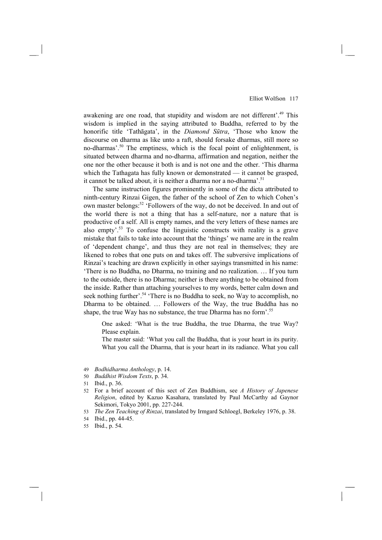# Elliot Wolfson 117

awakening are one road, that stupidity and wisdom are not different'.<sup>49</sup> This wisdom is implied in the saying attributed to Buddha, referred to by the honorific title 'Tathāgata', in the *Diamond Sūtra*, 'Those who know the discourse on dharma as like unto a raft, should forsake dharmas, still more so no-dharmas'.<sup>50</sup> The emptiness, which is the focal point of enlightenment, is situated between dharma and no-dharma, affirmation and negation, neither the one nor the other because it both is and is not one and the other. 'This dharma which the Tathagata has fully known or demonstrated — it cannot be grasped, it cannot be talked about, it is neither a dharma nor a no-dharma'.<sup>51</sup>

The same instruction figures prominently in some of the dicta attributed to ninth-century Rinzai Gigen, the father of the school of Zen to which Cohen's own master belongs:<sup>52</sup> 'Followers of the way, do not be deceived. In and out of the world there is not a thing that has a self-nature, nor a nature that is productive of a self. All is empty names, and the very letters of these names are also empty'.<sup>53</sup> To confuse the linguistic constructs with reality is a grave mistake that fails to take into account that the 'things' we name are in the realm of 'dependent change', and thus they are not real in themselves; they are likened to robes that one puts on and takes off. The subversive implications of Rinzai's teaching are drawn explicitly in other sayings transmitted in his name: 'There is no Buddha, no Dharma, no training and no realization. … If you turn to the outside, there is no Dharma; neither is there anything to be obtained from the inside. Rather than attaching yourselves to my words, better calm down and seek nothing further'.<sup>54</sup> 'There is no Buddha to seek, no Way to accomplish, no Dharma to be obtained. … Followers of the Way, the true Buddha has no shape, the true Way has no substance, the true Dharma has no form'.<sup>55</sup>

One asked: 'What is the true Buddha, the true Dharma, the true Way? Please explain.

The master said: 'What you call the Buddha, that is your heart in its purity. What you call the Dharma, that is your heart in its radiance. What you call

- 49 *Bodhidharma Anthology*, p. 14.
- 50 *Buddhist Wisdom Texts*, p. 34.
- 51 Ibid., p. 36.
- 52 For a brief account of this sect of Zen Buddhism, see *A History of Japenese Religion*, edited by Kazuo Kasahara, translated by Paul McCarthy ad Gaynor Sekimori, Tokyo 2001, pp. 227-244.
- 53 *The Zen Teaching of Rinzai*, translated by Irmgard Schloegl, Berkeley 1976, p. 38.
- 54 Ibid., pp. 44-45.
- 55 Ibid., p. 54.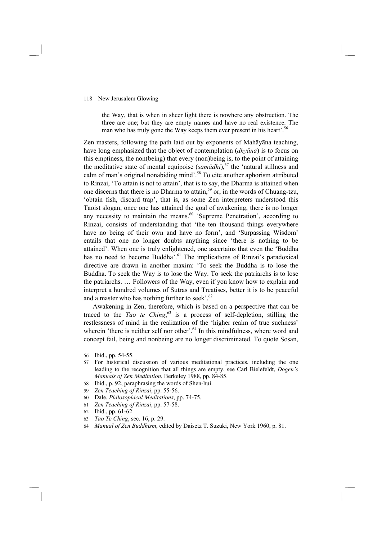the Way, that is when in sheer light there is nowhere any obstruction. The three are one; but they are empty names and have no real existence. The man who has truly gone the Way keeps them ever present in his heart'.<sup>56</sup>

Zen masters, following the path laid out by exponents of Mahāyāna teaching, have long emphasized that the object of contemplation (*dhyāna*) is to focus on this emptiness, the non(being) that every (non)being is, to the point of attaining the meditative state of mental equipoise  $(sam\bar{a}dhi)$ ,<sup>57</sup>, the 'natural stillness and calm of man's original nonabiding mind'.<sup>58</sup> To cite another aphorism attributed to Rinzai, 'To attain is not to attain', that is to say, the Dharma is attained when one discerns that there is no Dharma to attain,<sup>59</sup> or, in the words of Chuang-tzu, 'obtain fish, discard trap', that is, as some Zen interpreters understood this Taoist slogan, once one has attained the goal of awakening, there is no longer any necessity to maintain the means. $60$  'Supreme Penetration', according to Rinzai, consists of understanding that 'the ten thousand things everywhere have no being of their own and have no form', and 'Surpassing Wisdom' entails that one no longer doubts anything since 'there is nothing to be attained'. When one is truly enlightened, one ascertains that even the 'Buddha has no need to become Buddha<sup>5</sup>.<sup>61</sup> The implications of Rinzai's paradoxical directive are drawn in another maxim: 'To seek the Buddha is to lose the Buddha. To seek the Way is to lose the Way. To seek the patriarchs is to lose the patriarchs. … Followers of the Way, even if you know how to explain and interpret a hundred volumes of Sutras and Treatises, better it is to be peaceful and a master who has nothing further to seek'.<sup>62</sup>

Awakening in Zen, therefore, which is based on a perspective that can be traced to the *Tao te Ching*,<sup> $63$ </sup> is a process of self-depletion, stilling the restlessness of mind in the realization of the 'higher realm of true suchness' wherein 'there is neither self nor other'.<sup>64</sup> In this mindfulness, where word and concept fail, being and nonbeing are no longer discriminated. To quote Sosan,

- 56 Ibid., pp. 54-55.
- 57 For historical discussion of various meditational practices, including the one leading to the recognition that all things are empty, see Carl Bielefeldt, *Dogen's Manuals of Zen Meditation*, Berkeley 1988, pp. 84-85.
- 58 Ibid., p. 92, paraphrasing the words of Shen-hui.
- 59 *Zen Teaching of Rinzai*, pp. 55-56.
- 60 Dale, *Philosophical Meditations*, pp. 74-75.
- 61 *Zen Teaching of Rinzai*, pp. 57-58.
- 62 Ibid., pp. 61-62.
- 63 *Tao Te Ching*, sec. 16, p. 29.
- 64 *Manual of Zen Buddhism*, edited by Daisetz T. Suzuki, New York 1960, p. 81.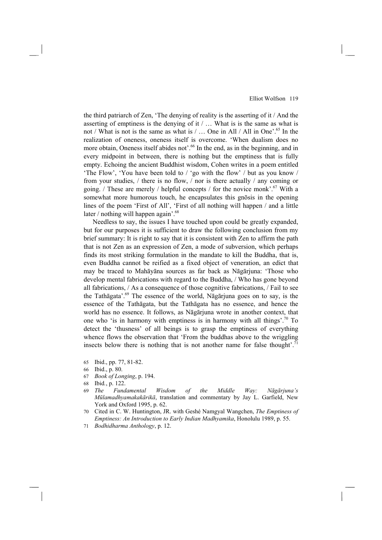the third patriarch of Zen, 'The denying of reality is the asserting of it / And the asserting of emptiness is the denying of it / … What is is the same as what is not / What is not is the same as what is / ... One in All / All in One'.<sup>65</sup> In the realization of oneness, oneness itself is overcome. 'When dualism does no more obtain, Oneness itself abides not'.<sup>66</sup> In the end, as in the beginning, and in every midpoint in between, there is nothing but the emptiness that is fully empty. Echoing the ancient Buddhist wisdom, Cohen writes in a poem entitled 'The Flow', 'You have been told to / 'go with the flow' / but as you know / from your studies, / there is no flow, / nor is there actually / any coming or going. / These are merely / helpful concepts / for the novice monk'.<sup>67</sup> With a somewhat more humorous touch, he encapsulates this gnōsis in the opening lines of the poem 'First of All', 'First of all nothing will happen / and a little later / nothing will happen again'.<sup>68</sup>

Needless to say, the issues I have touched upon could be greatly expanded, but for our purposes it is sufficient to draw the following conclusion from my brief summary: It is right to say that it is consistent with Zen to affirm the path that is not Zen as an expression of Zen, a mode of subversion, which perhaps finds its most striking formulation in the mandate to kill the Buddha, that is, even Buddha cannot be reified as a fixed object of veneration, an edict that may be traced to Mahāyāna sources as far back as Nāgārjuna: 'Those who develop mental fabrications with regard to the Buddha, / Who has gone beyond all fabrications, / As a consequence of those cognitive fabrications, / Fail to see the Tathāgata'.69 The essence of the world, Nāgārjuna goes on to say, is the essence of the Tathāgata, but the Tathāgata has no essence, and hence the world has no essence. It follows, as Nāgārjuna wrote in another context, that one who 'is in harmony with emptiness is in harmony with all things'.70 To detect the 'thusness' of all beings is to grasp the emptiness of everything whence flows the observation that 'From the buddhas above to the wriggling insects below there is nothing that is not another name for false thought'.<sup>71</sup>

- 65 Ibid., pp. 77, 81-82.
- 66 Ibid., p. 80.
- 67 *Book of Longing*, p. 194.
- 68 Ibid*.*, p. 122.
- 69 *The Fundamental Wisdom of the Middle Way: Nāgārjuna's Mūlamadhyamakakārikā*, translation and commentary by Jay L. Garfield, New York and Oxford 1995, p. 62.
- 70 Cited in C. W. Huntington, JR. with Geshé Namgyal Wangchen, *The Emptiness of Emptiness: An Introduction to Early Indian Madhyamika*, Honolulu 1989, p. 55.
- 71 *Bodhidharma Anthology*, p. 12.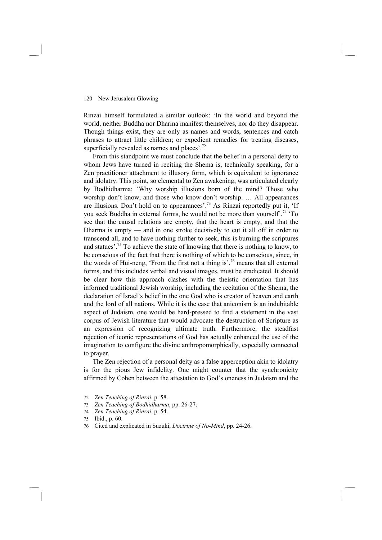Rinzai himself formulated a similar outlook: 'In the world and beyond the world, neither Buddha nor Dharma manifest themselves, nor do they disappear. Though things exist, they are only as names and words, sentences and catch phrases to attract little children; or expedient remedies for treating diseases, superficially revealed as names and places'.<sup>72</sup>

From this standpoint we must conclude that the belief in a personal deity to whom Jews have turned in reciting the Shema is, technically speaking, for a Zen practitioner attachment to illusory form, which is equivalent to ignorance and idolatry. This point, so elemental to Zen awakening, was articulated clearly by Bodhidharma: 'Why worship illusions born of the mind? Those who worship don't know, and those who know don't worship. … All appearances are illusions. Don't hold on to appearances'.73 As Rinzai reportedly put it, 'If you seek Buddha in external forms, he would not be more than yourself'.74 'To see that the causal relations are empty, that the heart is empty, and that the Dharma is empty — and in one stroke decisively to cut it all off in order to transcend all, and to have nothing further to seek, this is burning the scriptures and statues'.75 To achieve the state of knowing that there is nothing to know, to be conscious of the fact that there is nothing of which to be conscious, since, in the words of Hui-neng, 'From the first not a thing is',76 means that all external forms, and this includes verbal and visual images, must be eradicated. It should be clear how this approach clashes with the theistic orientation that has informed traditional Jewish worship, including the recitation of the Shema, the declaration of Israel's belief in the one God who is creator of heaven and earth and the lord of all nations. While it is the case that aniconism is an indubitable aspect of Judaism, one would be hard-pressed to find a statement in the vast corpus of Jewish literature that would advocate the destruction of Scripture as an expression of recognizing ultimate truth. Furthermore, the steadfast rejection of iconic representations of God has actually enhanced the use of the imagination to configure the divine anthropomorphically, especially connected to prayer.

The Zen rejection of a personal deity as a false apperception akin to idolatry is for the pious Jew infidelity. One might counter that the synchronicity affirmed by Cohen between the attestation to God's oneness in Judaism and the

- 72 *Zen Teaching of Rinzai*, p. 58.
- 73 *Zen Teaching of Bodhidharma*, pp. 26-27.
- 74 *Zen Teaching of Rinzai*, p. 54.
- 75 Ibid., p. 60.
- 76 Cited and explicated in Suzuki, *Doctrine of No-Mind*, pp. 24-26.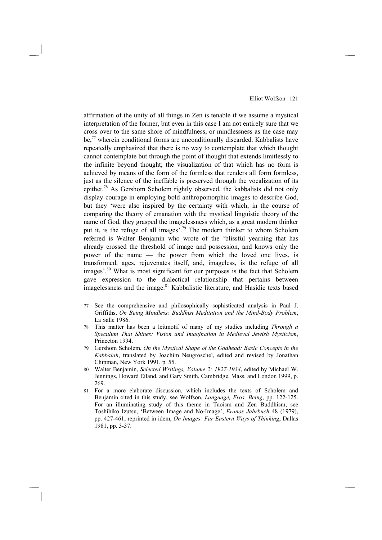affirmation of the unity of all things in Zen is tenable if we assume a mystical interpretation of the former, but even in this case I am not entirely sure that we cross over to the same shore of mindfulness, or mindlessness as the case may be,77 wherein conditional forms are unconditionally discarded. Kabbalists have repeatedly emphasized that there is no way to contemplate that which thought cannot contemplate but through the point of thought that extends limitlessly to the infinite beyond thought; the visualization of that which has no form is achieved by means of the form of the formless that renders all form formless, just as the silence of the ineffable is preserved through the vocalization of its epithet.<sup>78</sup> As Gershom Scholem rightly observed, the kabbalists did not only display courage in employing bold anthropomorphic images to describe God, but they 'were also inspired by the certainty with which, in the course of comparing the theory of emanation with the mystical linguistic theory of the name of God, they grasped the imagelessness which, as a great modern thinker put it, is the refuge of all images'.<sup>79</sup> The modern thinker to whom Scholem referred is Walter Benjamin who wrote of the 'blissful yearning that has already crossed the threshold of image and possession, and knows only the power of the name — the power from which the loved one lives, is transformed, ages, rejuvenates itself, and, imageless, is the refuge of all images'.<sup>80</sup> What is most significant for our purposes is the fact that Scholem gave expression to the dialectical relationship that pertains between imagelessness and the image.<sup>81</sup> Kabbalistic literature, and Hasidic texts based

- 77 See the comprehensive and philosophically sophisticated analysis in Paul J. Griffiths, *On Being Mindless: Buddhist Meditation and the Mind-Body Problem*, La Salle 1986.
- 78 This matter has been a leitmotif of many of my studies including *Through a Speculum That Shines: Vision and Imagination in Medieval Jewish Mysticism*, Princeton 1994.
- 79 Gershom Scholem, *On the Mystical Shape of the Godhead: Basic Concepts in the Kabbalah*, translated by Joachim Neugroschel, edited and revised by Jonathan Chipman, New York 1991, p. 55.
- 80 Walter Benjamin, *Selected Writings, Volume 2: 1927-1934*, edited by Michael W. Jennings, Howard Eiland, and Gary Smith, Cambridge, Mass. and London 1999, p. 269.
- 81 For a more elaborate discussion, which includes the texts of Scholem and Benjamin cited in this study, see Wolfson, *Language, Eros, Being*, pp. 122-125. For an illuminating study of this theme in Taoism and Zen Buddhism, see Toshihiko Izutsu, 'Between Image and No-Image', *Eranos Jahrbuch* 48 (1979), pp. 427-461, reprinted in idem, *On Images: Far Eastern Ways of Thinking*, Dallas 1981, pp. 3-37.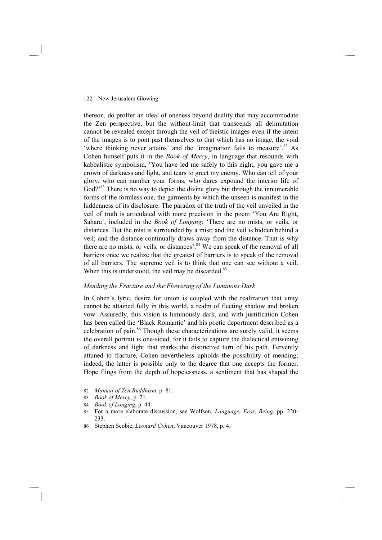thereon, do proffer an ideal of oneness beyond duality that may accommodate the Zen perspective, but the without-limit that transcends all delimitation cannot be revealed except through the veil of theistic images even if the intent of the images is to pont past themselves to that which has no image, the void 'where thinking never attains' and the 'imagination fails to measure'.<sup>82</sup> As Cohen himself puts it in the *Book of Mercy*, in language that resounds with kabbalistic symbolism, 'You have led me safely to this night, you gave me a crown of darkness and light, and tears to greet my enemy. Who can tell of your glory, who can number your forms, who dares expound the interior life of God?<sup>83</sup> There is no way to depict the divine glory but through the innumerable forms of the formless one, the garments by which the unseen is manifest in the hiddenness of its disclosure. The paradox of the truth of the veil unveiled in the veil of truth is articulated with more precision in the poem 'You Are Right, Sahara', included in the *Book of Longing*: 'There are no mists, or veils, or distances. But the mist is surrounded by a mist; and the veil is hidden behind a veil; and the distance continually draws away from the distance. That is why there are no mists, or veils, or distances'.<sup>84</sup> We can speak of the removal of all barriers once we realize that the greatest of barriers is to speak of the removal of all barriers. The supreme veil is to think that one can see without a veil. When this is understood, the veil may be discarded.<sup>85</sup>

# *Mending the Fracture and the Flowering of the Luminous Dark*

In Cohen's lyric, desire for union is coupled with the realization that unity cannot be attained fully in this world, a realm of fleeting shadow and broken vow. Assuredly, this vision is luminously dark, and with justification Cohen has been called the 'Black Romantic' and his poetic deportment described as a celebration of pain.<sup>86</sup> Though these characterizations are surely valid, it seems the overall portrait is one-sided, for it fails to capture the dialectical entwining of darkness and light that marks the distinctive turn of his path. Fervently attuned to fracture, Cohen nevertheless upholds the possibility of mending; indeed, the latter is possible only to the degree that one accepts the former. Hope flings from the depth of hopelessness, a sentiment that has shaped the

- 82 *Manual of Zen Buddhism*, p. 81.
- 83 *Book of Mercy*, p. 21.
- 84 *Book of Longing*, p. 44.
- 85 For a more elaborate discussion, see Wolfson, *Language, Eros, Being*, pp. 220- 233.
- 86 Stephen Scobie, *Leonard Cohen*, Vancouver 1978, p. 4.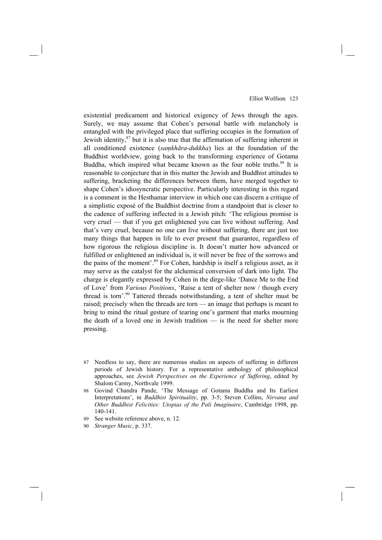existential predicament and historical exigency of Jews through the ages. Surely, we may assume that Cohen's personal battle with melancholy is entangled with the privileged place that suffering occupies in the formation of Jewish identity, $^{87}$  but it is also true that the affirmation of suffering inherent in all conditioned existence (*saṃkhāra-dukkha*) lies at the foundation of the Buddhist worldview, going back to the transforming experience of Gotama Buddha, which inspired what became known as the four noble truths.<sup>88</sup> It is reasonable to conjecture that in this matter the Jewish and Buddhist attitudes to suffering, bracketing the differences between them, have merged together to shape Cohen's idiosyncratic perspective. Particularly interesting in this regard is a comment in the Hesthamar interview in which one can discern a critique of a simplistic exposé of the Buddhist doctrine from a standpoint that is closer to the cadence of suffering inflected in a Jewish pitch: 'The religious promise is very cruel — that if you get enlightened you can live without suffering. And that's very cruel, because no one can live without suffering, there are just too many things that happen in life to ever present that guarantee, regardless of how rigorous the religious discipline is. It doesn't matter how advanced or fulfilled or enlightened an individual is, it will never be free of the sorrows and the pains of the moment'.<sup>89</sup> For Cohen, hardship is itself a religious asset, as it may serve as the catalyst for the alchemical conversion of dark into light. The charge is elegantly expressed by Cohen in the dirge-like 'Dance Me to the End of Love' from *Various Positions*, 'Raise a tent of shelter now / though every thread is torn'.90 Tattered threads notwithstanding, a tent of shelter must be raised; precisely when the threads are torn — an image that perhaps is meant to bring to mind the ritual gesture of tearing one's garment that marks mourning the death of a loved one in Jewish tradition — is the need for shelter more pressing.

- 87 Needless to say, there are numerous studies on aspects of suffering in different periods of Jewish history. For a representative anthology of philosophical approaches, see *Jewish Perspectives on the Experience of Suffering*, edited by Shalom Carmy, Northvale 1999.
- 88 Govind Chandra Pande, 'The Message of Gotama Buddha and Its Earliest Interpretations', in *Buddhist Spirituality*, pp. 3-5; Steven Collins, *Nirvana and Other Buddhist Felicities: Utopias of the Pali Imaginaire*, Cambridge 1998, pp. 140-141.
- 89 See website reference above, n. 12.
- 90 *Stranger Music*, p. 337.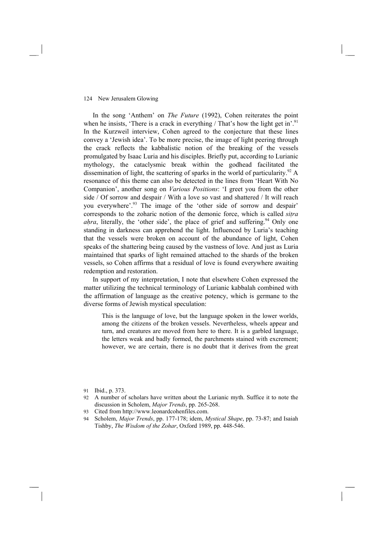In the song 'Anthem' on *The Future* (1992), Cohen reiterates the point when he insists, 'There is a crack in everything / That's how the light get in'.<sup>91</sup> In the Kurzweil interview, Cohen agreed to the conjecture that these lines convey a 'Jewish idea'. To be more precise, the image of light peering through the crack reflects the kabbalistic notion of the breaking of the vessels promulgated by Isaac Luria and his disciples. Briefly put, according to Lurianic mythology, the cataclysmic break within the godhead facilitated the dissemination of light, the scattering of sparks in the world of particularity.<sup>92</sup> A resonance of this theme can also be detected in the lines from 'Heart With No Companion', another song on *Various Positions*: 'I greet you from the other side / Of sorrow and despair / With a love so vast and shattered / It will reach you everywhere'.<sup>93</sup> The image of the 'other side of sorrow and despair' corresponds to the zoharic notion of the demonic force, which is called *sitra ahra*, literally, the 'other side', the place of grief and suffering.<sup>94</sup> Only one standing in darkness can apprehend the light. Influenced by Luria's teaching that the vessels were broken on account of the abundance of light, Cohen speaks of the shattering being caused by the vastness of love. And just as Luria maintained that sparks of light remained attached to the shards of the broken vessels, so Cohen affirms that a residual of love is found everywhere awaiting redemption and restoration.

In support of my interpretation, I note that elsewhere Cohen expressed the matter utilizing the technical terminology of Lurianic kabbalah combined with the affirmation of language as the creative potency, which is germane to the diverse forms of Jewish mystical speculation:

This is the language of love, but the language spoken in the lower worlds, among the citizens of the broken vessels. Nevertheless, wheels appear and turn, and creatures are moved from here to there. It is a garbled language, the letters weak and badly formed, the parchments stained with excrement; however, we are certain, there is no doubt that it derives from the great

- 91 Ibid., p. 373.
- 92 A number of scholars have written about the Lurianic myth. Suffice it to note the discussion in Scholem, *Major Trends*, pp. 265-268.
- 93 Cited from http://www.leonardcohenfiles.com.
- 94 Scholem, *Major Trends*, pp. 177-178; idem, *Mystical Shape*, pp. 73-87; and Isaiah Tishby, *The Wisdom of the Zohar*, Oxford 1989, pp. 448-546.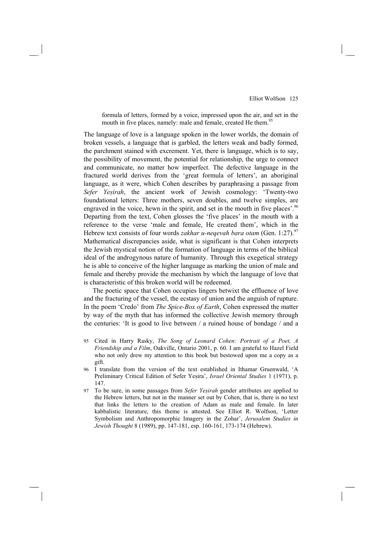Elliot Wolfson 125

formula of letters, formed by a voice, impressed upon the air, and set in the mouth in five places, namely: male and female, created He them.<sup>95</sup>

The language of love is a language spoken in the lower worlds, the domain of broken vessels, a language that is garbled, the letters weak and badly formed, the parchment stained with excrement. Yet, there is language, which is to say, the possibility of movement, the potential for relationship, the urge to connect and communicate, no matter how imperfect. The defective language in the fractured world derives from the 'great formula of letters', an aboriginal language, as it were, which Cohen describes by paraphrasing a passage from *Sefer Yesirah*, the ancient work of Jewish cosmology: 'Twenty-two foundational letters: Three mothers, seven doubles, and twelve simples, are engraved in the voice, hewn in the spirit, and set in the mouth in five places'.<sup>96</sup> Departing from the text, Cohen glosses the 'five places' in the mouth with a reference to the verse 'male and female, He created them', which in the Hebrew text consists of four words *zakhar u-neqevah bara otam* (Gen. 1:27).<sup>97</sup> Mathematical discrepancies aside, what is significant is that Cohen interprets the Jewish mystical notion of the formation of language in terms of the biblical ideal of the androgynous nature of humanity. Through this exegetical strategy he is able to conceive of the higher language as marking the union of male and female and thereby provide the mechanism by which the language of love that is characteristic of this broken world will be redeemed.

The poetic space that Cohen occupies lingers betwixt the effluence of love and the fracturing of the vessel, the ecstasy of union and the anguish of rupture. In the poem 'Credo' from *The Spice-Box of Earth*, Cohen expressed the matter by way of the myth that has informed the collective Jewish memory through the centuries: 'It is good to live between / a ruined house of bondage / and a

- 95 Cited in Harry Rasky, *The Song of Leonard Cohen: Portrait of a Poet, A Friendship and a Film*, Oakville, Ontario 2001, p. 60. I am grateful to Hazel Field who not only drew my attention to this book but bestowed upon me a copy as a gift.
- 96 I translate from the version of the text established in Ithamar Gruenwald, 'A Preliminary Critical Edition of Sefer Yesira', *Israel Oriental Studies* 1 (1971), p. 147.
- 97 To be sure, in some passages from *Sefer Yesirah* gender attributes are applied to the Hebrew letters, but not in the manner set out by Cohen, that is, there is no text that links the letters to the creation of Adam as male and female. In later kabbalistic literature, this theme is attested. See Elliot R. Wolfson, 'Letter Symbolism and Anthropomorphic Imagery in the Zohar', *Jerusalem Studies in Jewish Thought* 8 (1989), pp. 147-181, esp. 160-161, 173-174 (Hebrew).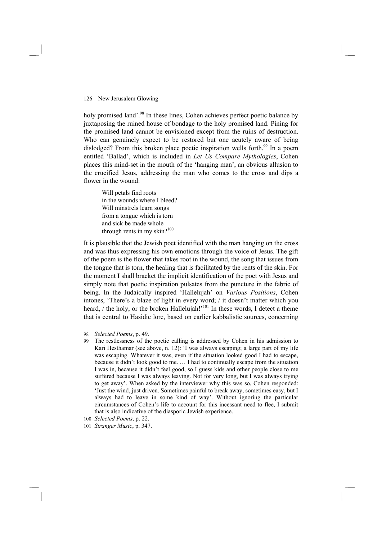holy promised land'.<sup>98</sup> In these lines, Cohen achieves perfect poetic balance by juxtaposing the ruined house of bondage to the holy promised land. Pining for the promised land cannot be envisioned except from the ruins of destruction. Who can genuinely expect to be restored but one acutely aware of being dislodged? From this broken place poetic inspiration wells forth.<sup>99</sup> In a poem entitled 'Ballad', which is included in *Let Us Compare Mythologies*, Cohen places this mind-set in the mouth of the 'hanging man', an obvious allusion to the crucified Jesus, addressing the man who comes to the cross and dips a flower in the wound:

Will petals find roots in the wounds where I bleed? Will minstrels learn songs from a tongue which is torn and sick be made whole through rents in my skin?<sup>100</sup>

It is plausible that the Jewish poet identified with the man hanging on the cross and was thus expressing his own emotions through the voice of Jesus. The gift of the poem is the flower that takes root in the wound, the song that issues from the tongue that is torn, the healing that is facilitated by the rents of the skin. For the moment I shall bracket the implicit identification of the poet with Jesus and simply note that poetic inspiration pulsates from the puncture in the fabric of being. In the Judaically inspired 'Hallelujah' on *Various Positions*, Cohen intones, 'There's a blaze of light in every word; / it doesn't matter which you heard, / the holy, or the broken Hallelujah!'<sup>101</sup> In these words, I detect a theme that is central to Hasidic lore, based on earlier kabbalistic sources, concerning

- 98 *Selected Poems*, p. 49.
- 99 The restlessness of the poetic calling is addressed by Cohen in his admission to Kari Hesthamar (see above, n. 12): 'I was always escaping; a large part of my life was escaping. Whatever it was, even if the situation looked good I had to escape, because it didn't look good to me. … I had to continually escape from the situation I was in, because it didn't feel good, so I guess kids and other people close to me suffered because I was always leaving. Not for very long, but I was always trying to get away'. When asked by the interviewer why this was so, Cohen responded: 'Just the wind, just driven. Sometimes painful to break away, sometimes easy, but I always had to leave in some kind of way'. Without ignoring the particular circumstances of Cohen's life to account for this incessant need to flee, I submit that is also indicative of the diasporic Jewish experience.
- 100 *Selected Poems*, p. 22.
- 101 *Stranger Music*, p. 347.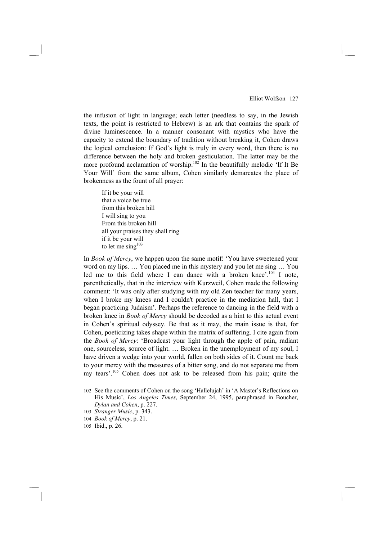the infusion of light in language; each letter (needless to say, in the Jewish texts, the point is restricted to Hebrew) is an ark that contains the spark of divine luminescence. In a manner consonant with mystics who have the capacity to extend the boundary of tradition without breaking it, Cohen draws the logical conclusion: If God's light is truly in every word, then there is no difference between the holy and broken gesticulation. The latter may be the more profound acclamation of worship.<sup>102</sup> In the beautifully melodic 'If It Be Your Will' from the same album, Cohen similarly demarcates the place of brokenness as the fount of all prayer:

If it be your will that a voice be true from this broken hill I will sing to you From this broken hill all your praises they shall ring if it be your will to let me sing $103$ 

In *Book of Mercy*, we happen upon the same motif: 'You have sweetened your word on my lips. … You placed me in this mystery and you let me sing … You led me to this field where I can dance with a broken knee'.<sup>104</sup> I note, parenthetically, that in the interview with Kurzweil, Cohen made the following comment: 'It was only after studying with my old Zen teacher for many years, when I broke my knees and I couldn't practice in the mediation hall, that I began practicing Judaism'. Perhaps the reference to dancing in the field with a broken knee in *Book of Mercy* should be decoded as a hint to this actual event in Cohen's spiritual odyssey. Be that as it may, the main issue is that, for Cohen, poeticizing takes shape within the matrix of suffering. I cite again from the *Book of Mercy*: 'Broadcast your light through the apple of pain, radiant one, sourceless, source of light. … Broken in the unemployment of my soul, I have driven a wedge into your world, fallen on both sides of it. Count me back to your mercy with the measures of a bitter song, and do not separate me from my tears'.<sup>105</sup> Cohen does not ask to be released from his pain; quite the

- 102 See the comments of Cohen on the song 'Hallelujah' in 'A Master's Reflections on His Music', *Los Angeles Times*, September 24, 1995, paraphrased in Boucher, *Dylan and Cohen*, p. 227.
- 103 *Stranger Music*, p. 343.
- 104 *Book of Mercy*, p. 21.
- 105 Ibid., p. 26.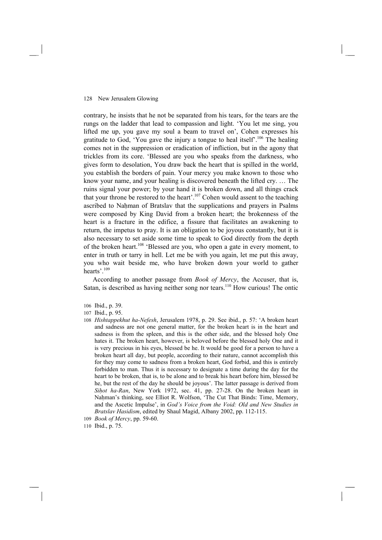contrary, he insists that he not be separated from his tears, for the tears are the rungs on the ladder that lead to compassion and light. 'You let me sing, you lifted me up, you gave my soul a beam to travel on', Cohen expresses his gratitude to God, 'You gave the injury a tongue to heal itself'.106 The healing comes not in the suppression or eradication of infliction, but in the agony that trickles from its core. 'Blessed are you who speaks from the darkness, who gives form to desolation, You draw back the heart that is spilled in the world, you establish the borders of pain. Your mercy you make known to those who know your name, and your healing is discovered beneath the lifted cry. … The ruins signal your power; by your hand it is broken down, and all things crack that your throne be restored to the heart'.107 Cohen would assent to the teaching ascribed to Nahman of Bratslav that the supplications and prayers in Psalms were composed by King David from a broken heart; the brokenness of the heart is a fracture in the edifice, a fissure that facilitates an awakening to return, the impetus to pray. It is an obligation to be joyous constantly, but it is also necessary to set aside some time to speak to God directly from the depth of the broken heart.108 'Blessed are you, who open a gate in every moment, to enter in truth or tarry in hell. Let me be with you again, let me put this away, you who wait beside me, who have broken down your world to gather hearts'.<sup>109</sup>

According to another passage from *Book of Mercy*, the Accuser, that is, Satan, is described as having neither song nor tears.<sup>110</sup> How curious! The ontic

- 106 Ibid., p. 39.
- 107 Ibid., p. 95.
- 108 *Hishtappekhut ha-Nefesh*, Jerusalem 1978, p. 29. See ibid., p. 57: 'A broken heart and sadness are not one general matter, for the broken heart is in the heart and sadness is from the spleen, and this is the other side, and the blessed holy One hates it. The broken heart, however, is beloved before the blessed holy One and it is very precious in his eyes, blessed be he. It would be good for a person to have a broken heart all day, but people, according to their nature, cannot accomplish this for they may come to sadness from a broken heart, God forbid, and this is entirely forbidden to man. Thus it is necessary to designate a time during the day for the heart to be broken, that is, to be alone and to break his heart before him, blessed be he, but the rest of the day he should be joyous'. The latter passage is derived from *Sihot ha-Ran*, New York 1972, sec. 41, pp. 27-28. On the broken heart in Nahman's thinking, see Elliot R. Wolfson, 'The Cut That Binds: Time, Memory, and the Ascetic Impulse', in *God's Voice from the Void: Old and New Studies in Bratslav Hasidism*, edited by Shaul Magid, Albany 2002, pp. 112-115.
- 109 *Book of Mercy*, pp. 59-60.
- 110 Ibid., p. 75.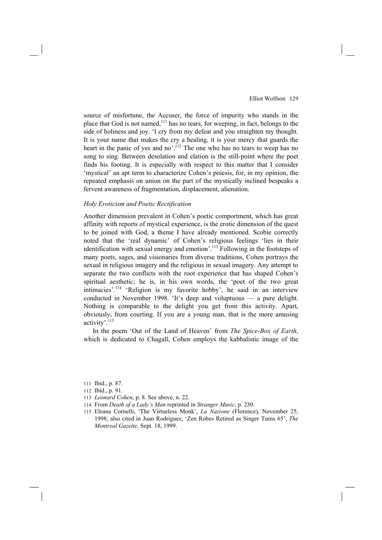source of misfortune, the Accuser, the force of impurity who stands in the place that God is not named, $111$  has no tears, for weeping, in fact, belongs to the side of holiness and joy. 'I cry from my defeat and you straighten my thought. It is your name that makes the cry a healing, it is your mercy that guards the heart in the panic of yes and no'.<sup>112</sup> The one who has no tears to weep has no song to sing. Between desolation and elation is the still-point where the poet finds his footing. It is especially with respect to this matter that I consider 'mystical' an apt term to characterize Cohen's poiesis, for, in my opinion, the repeated emphasis on union on the part of the mystically inclined bespeaks a fervent awareness of fragmentation, displacement, alienation.

# *Holy Eroticism and Poetic Rectification*

Another dimension prevalent in Cohen's poetic comportment, which has great affinity with reports of mystical experience, is the erotic dimension of the quest to be joined with God, a theme I have already mentioned. Scobie correctly noted that the 'real dynamic' of Cohen's religious feelings 'lies in their identification with sexual energy and emotion'.113 Following in the footsteps of many poets, sages, and visionaries from diverse traditions, Cohen portrays the sexual in religious imagery and the religious in sexual imagery. Any attempt to separate the two conflicts with the root experience that has shaped Cohen's spiritual aesthetic; he is, in his own words, the 'poet of the two great intimacies'.114 'Religion is my favorite hobby', he said in an interview conducted in November 1998. 'It's deep and voluptuous — a pure delight. Nothing is comparable to the delight you get from this activity. Apart, obviously, from courting. If you are a young man, that is the more amusing activity'.<sup>115</sup>

In the poem 'Out of the Land of Heaven' from *The Spice-Box of Earth*, which is dedicated to Chagall, Cohen employs the kabbalistic image of the

- 113 *Leonard Cohen*, p. 8. See above, n. 22.
- 114 From *Death of a Lady's Man* reprinted in *Stranger Music*, p. 230.
- 115 Eleana Cornelli, 'The Virtueless Monk', *La Nazione* (Florence), November 25, 1998, also cited in Juan Rodriguez, 'Zen Robes Retired as Singer Turns 65', *The Montreal Gazette*, Sept. 18, 1999.

<sup>111</sup> Ibid., p. 87.

<sup>112</sup> Ibid., p. 91.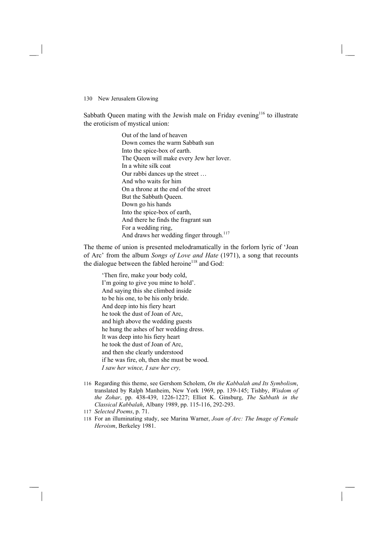Sabbath Queen mating with the Jewish male on Friday evening<sup>116</sup> to illustrate the eroticism of mystical union:

> Out of the land of heaven Down comes the warm Sabbath sun Into the spice-box of earth. The Queen will make every Jew her lover. In a white silk coat Our rabbi dances up the street … And who waits for him On a throne at the end of the street But the Sabbath Queen. Down go his hands Into the spice-box of earth, And there he finds the fragrant sun For a wedding ring, And draws her wedding finger through. $117$

The theme of union is presented melodramatically in the forlorn lyric of 'Joan of Arc' from the album *Songs of Love and Hate* (1971), a song that recounts the dialogue between the fabled heroine<sup>118</sup> and God:

'Then fire, make your body cold, I'm going to give you mine to hold'. And saying this she climbed inside to be his one, to be his only bride. And deep into his fiery heart he took the dust of Joan of Arc, and high above the wedding guests he hung the ashes of her wedding dress. It was deep into his fiery heart he took the dust of Joan of Arc, and then she clearly understood if he was fire, oh, then she must be wood. *I saw her wince, I saw her cry,* 

- 116 Regarding this theme, see Gershom Scholem, *On the Kabbalah and Its Symbolism*, translated by Ralph Manheim, New York 1969, pp. 139-145; Tishby, *Wisdom of the Zohar*, pp. 438-439, 1226-1227; Elliot K. Ginsburg, *The Sabbath in the Classical Kabbalah*, Albany 1989, pp. 115-116, 292-293.
- 117 *Selected Poems*, p. 71.
- 118 For an illuminating study, see Marina Warner, *Joan of Arc: The Image of Female Heroism*, Berkeley 1981.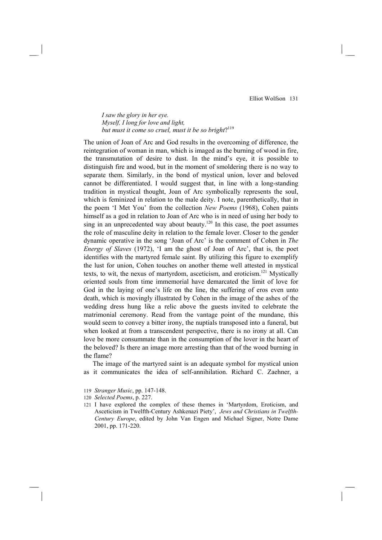Elliot Wolfson 131

*I saw the glory in her eye. Myself, I long for love and light, but must it come so cruel, must it be so bright*?<sup>119</sup>

The union of Joan of Arc and God results in the overcoming of difference, the reintegration of woman in man, which is imaged as the burning of wood in fire, the transmutation of desire to dust. In the mind's eye, it is possible to distinguish fire and wood, but in the moment of smoldering there is no way to separate them. Similarly, in the bond of mystical union, lover and beloved cannot be differentiated. I would suggest that, in line with a long-standing tradition in mystical thought, Joan of Arc symbolically represents the soul, which is feminized in relation to the male deity. I note, parenthetically, that in the poem 'I Met You' from the collection *New Poems* (1968), Cohen paints himself as a god in relation to Joan of Arc who is in need of using her body to sing in an unprecedented way about beauty.<sup>120</sup> In this case, the poet assumes the role of masculine deity in relation to the female lover. Closer to the gender dynamic operative in the song 'Joan of Arc' is the comment of Cohen in *The Energy of Slaves* (1972), 'I am the ghost of Joan of Arc', that is, the poet identifies with the martyred female saint. By utilizing this figure to exemplify the lust for union, Cohen touches on another theme well attested in mystical texts, to wit, the nexus of martyrdom, asceticism, and eroticism.<sup>121</sup> Mystically oriented souls from time immemorial have demarcated the limit of love for God in the laying of one's life on the line, the suffering of eros even unto death, which is movingly illustrated by Cohen in the image of the ashes of the wedding dress hung like a relic above the guests invited to celebrate the matrimonial ceremony. Read from the vantage point of the mundane, this would seem to convey a bitter irony, the nuptials transposed into a funeral, but when looked at from a transcendent perspective, there is no irony at all. Can love be more consummate than in the consumption of the lover in the heart of the beloved? Is there an image more arresting than that of the wood burning in the flame?

The image of the martyred saint is an adequate symbol for mystical union as it communicates the idea of self-annihilation. Richard C. Zaehner, a

- 119 *Stranger Music*, pp. 147-148.
- 120 *Selected Poems*, p. 227.
- 121 I have explored the complex of these themes in 'Martyrdom, Eroticism, and Asceticism in Twelfth-Century Ashkenazi Piety', *Jews and Christians in Twelfth-Century Europe*, edited by John Van Engen and Michael Signer, Notre Dame 2001, pp. 171-220.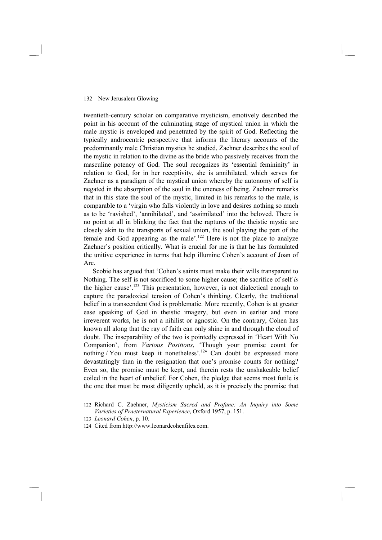twentieth-century scholar on comparative mysticism, emotively described the point in his account of the culminating stage of mystical union in which the male mystic is enveloped and penetrated by the spirit of God. Reflecting the typically androcentric perspective that informs the literary accounts of the predominantly male Christian mystics he studied, Zaehner describes the soul of the mystic in relation to the divine as the bride who passively receives from the masculine potency of God. The soul recognizes its 'essential femininity' in relation to God, for in her receptivity, she is annihilated, which serves for Zaehner as a paradigm of the mystical union whereby the autonomy of self is negated in the absorption of the soul in the oneness of being. Zaehner remarks that in this state the soul of the mystic, limited in his remarks to the male, is comparable to a 'virgin who falls violently in love and desires nothing so much as to be 'ravished', 'annihilated', and 'assimilated' into the beloved. There is no point at all in blinking the fact that the raptures of the theistic mystic are closely akin to the transports of sexual union, the soul playing the part of the female and God appearing as the male'.<sup>122</sup> Here is not the place to analyze Zaehner's position critically. What is crucial for me is that he has formulated the unitive experience in terms that help illumine Cohen's account of Joan of Arc.

Scobie has argued that 'Cohen's saints must make their wills transparent to Nothing. The self is not sacrificed to some higher cause; the sacrifice of self *is* the higher cause'.<sup>123</sup> This presentation, however, is not dialectical enough to capture the paradoxical tension of Cohen's thinking. Clearly, the traditional belief in a transcendent God is problematic. More recently, Cohen is at greater ease speaking of God in theistic imagery, but even in earlier and more irreverent works, he is not a nihilist or agnostic. On the contrary, Cohen has known all along that the ray of faith can only shine in and through the cloud of doubt. The inseparability of the two is pointedly expressed in 'Heart With No Companion', from *Various Positions*, 'Though your promise count for nothing / You must keep it nonetheless'.<sup>124</sup> Can doubt be expressed more devastatingly than in the resignation that one's promise counts for nothing? Even so, the promise must be kept, and therein rests the unshakeable belief coiled in the heart of unbelief. For Cohen, the pledge that seems most futile is the one that must be most diligently upheld, as it is precisely the promise that

124 Cited from http://www.leonardcohenfiles.com.

<sup>122</sup> Richard C. Zaehner, *Mysticism Sacred and Profane: An Inquiry into Some Varieties of Praeternatural Experience*, Oxford 1957, p. 151.

<sup>123</sup> *Leonard Cohen*, p. 10.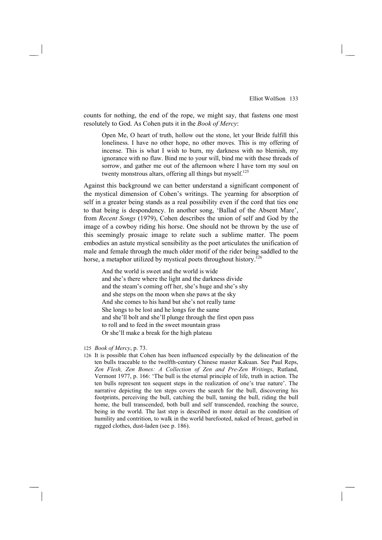counts for nothing, the end of the rope, we might say, that fastens one most resolutely to God. As Cohen puts it in the *Book of Mercy*:

Open Me, O heart of truth, hollow out the stone, let your Bride fulfill this loneliness. I have no other hope, no other moves. This is my offering of incense. This is what I wish to burn, my darkness with no blemish, my ignorance with no flaw. Bind me to your will, bind me with these threads of sorrow, and gather me out of the afternoon where I have torn my soul on twenty monstrous altars, offering all things but myself.<sup>125</sup>

Against this background we can better understand a significant component of the mystical dimension of Cohen's writings. The yearning for absorption of self in a greater being stands as a real possibility even if the cord that ties one to that being is despondency. In another song, 'Ballad of the Absent Mare', from *Recent Songs* (1979), Cohen describes the union of self and God by the image of a cowboy riding his horse. One should not be thrown by the use of this seemingly prosaic image to relate such a sublime matter. The poem embodies an astute mystical sensibility as the poet articulates the unification of male and female through the much older motif of the rider being saddled to the horse, a metaphor utilized by mystical poets throughout history.<sup>126</sup>

And the world is sweet and the world is wide and she's there where the light and the darkness divide and the steam's coming off her, she's huge and she's shy and she steps on the moon when she paws at the sky And she comes to his hand but she's not really tame She longs to be lost and he longs for the same and she'll bolt and she'll plunge through the first open pass to roll and to feed in the sweet mountain grass Or she'll make a break for the high plateau

- 125 *Book of Mercy*, p. 73.
- 126 It is possible that Cohen has been influenced especially by the delineation of the ten bulls traceable to the twelfth-century Chinese master Kakuan. See Paul Reps, *Zen Flesh, Zen Bones: A Collection of Zen and Pre-Zen Writings*, Rutland, Vermont 1977, p. 166: 'The bull is the eternal principle of life, truth in action. The ten bulls represent ten sequent steps in the realization of one's true nature'. The narrative depicting the ten steps covers the search for the bull, discovering his footprints, perceiving the bull, catching the bull, taming the bull, riding the bull home, the bull transcended, both bull and self transcended, reaching the source, being in the world. The last step is described in more detail as the condition of humility and contrition, to walk in the world barefooted, naked of breast, garbed in ragged clothes, dust-laden (see p. 186).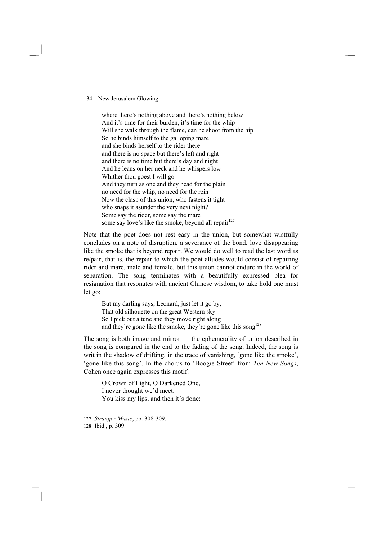where there's nothing above and there's nothing below And it's time for their burden, it's time for the whip Will she walk through the flame, can he shoot from the hip So he binds himself to the galloping mare and she binds herself to the rider there and there is no space but there's left and right and there is no time but there's day and night And he leans on her neck and he whispers low Whither thou goest I will go And they turn as one and they head for the plain no need for the whip, no need for the rein Now the clasp of this union, who fastens it tight who snaps it asunder the very next night? Some say the rider, some say the mare some say love's like the smoke, beyond all repair<sup>127</sup>

Note that the poet does not rest easy in the union, but somewhat wistfully concludes on a note of disruption, a severance of the bond, love disappearing like the smoke that is beyond repair. We would do well to read the last word as re/pair, that is, the repair to which the poet alludes would consist of repairing rider and mare, male and female, but this union cannot endure in the world of separation. The song terminates with a beautifully expressed plea for resignation that resonates with ancient Chinese wisdom, to take hold one must let go:

But my darling says, Leonard, just let it go by, That old silhouette on the great Western sky So I pick out a tune and they move right along and they're gone like the smoke, they're gone like this song<sup>128</sup>

The song is both image and mirror — the ephemerality of union described in the song is compared in the end to the fading of the song. Indeed, the song is writ in the shadow of drifting, in the trace of vanishing, 'gone like the smoke', 'gone like this song'. In the chorus to 'Boogie Street' from *Ten New Songs*, Cohen once again expresses this motif:

O Crown of Light, O Darkened One, I never thought we'd meet. You kiss my lips, and then it's done:

127 *Stranger Music*, pp. 308-309.

128 Ibid., p. 309.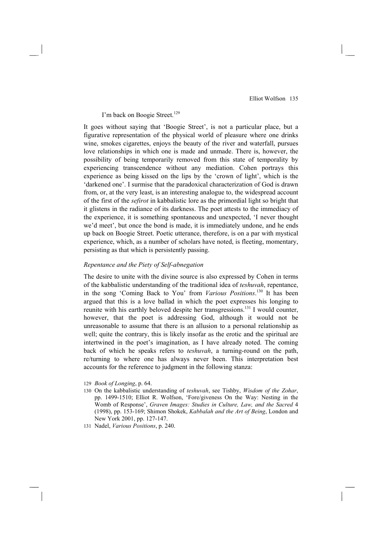Elliot Wolfson 135

# I'm back on Boogie Street.<sup>129</sup>

It goes without saying that 'Boogie Street', is not a particular place, but a figurative representation of the physical world of pleasure where one drinks wine, smokes cigarettes, enjoys the beauty of the river and waterfall, pursues love relationships in which one is made and unmade. There is, however, the possibility of being temporarily removed from this state of temporality by experiencing transcendence without any mediation. Cohen portrays this experience as being kissed on the lips by the 'crown of light', which is the 'darkened one'. I surmise that the paradoxical characterization of God is drawn from, or, at the very least, is an interesting analogue to, the widespread account of the first of the *sefirot* in kabbalistic lore as the primordial light so bright that it glistens in the radiance of its darkness. The poet attests to the immediacy of the experience, it is something spontaneous and unexpected, 'I never thought we'd meet', but once the bond is made, it is immediately undone, and he ends up back on Boogie Street. Poetic utterance, therefore, is on a par with mystical experience, which, as a number of scholars have noted, is fleeting, momentary, persisting as that which is persistently passing.

# *Repentance and the Piety of Self-abnegation*

The desire to unite with the divine source is also expressed by Cohen in terms of the kabbalistic understanding of the traditional idea of *teshuvah*, repentance, in the song 'Coming Back to You' from *Various Positions*. 130 It has been argued that this is a love ballad in which the poet expresses his longing to reunite with his earthly beloved despite her transgressions.<sup>131</sup> I would counter, however, that the poet is addressing God, although it would not be unreasonable to assume that there is an allusion to a personal relationship as well; quite the contrary, this is likely insofar as the erotic and the spiritual are intertwined in the poet's imagination, as I have already noted. The coming back of which he speaks refers to *teshuvah*, a turning-round on the path, re/turning to where one has always never been. This interpretation best accounts for the reference to judgment in the following stanza:

- 129 *Book of Longing*, p. 64.
- 130 On the kabbalistic understanding of *teshuvah*, see Tishby, *Wisdom of the Zohar*, pp. 1499-1510; Elliot R. Wolfson, 'Fore/giveness On the Way: Nesting in the Womb of Response', *Graven Images: Studies in Culture, Law, and the Sacred* 4 (1998), pp. 153-169; Shimon Shokek, *Kabbalah and the Art of Being*, London and New York 2001, pp. 127-147.
- 131 Nadel, *Various Positions*, p. 240.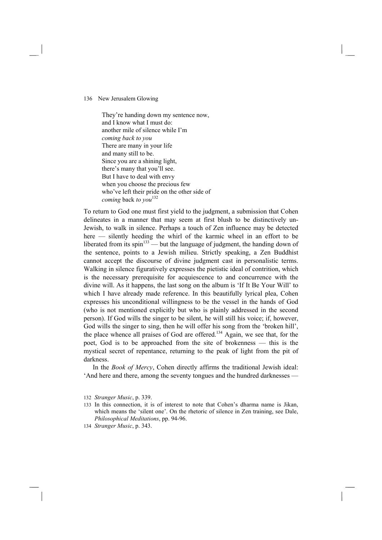They're handing down my sentence now, and I know what I must do: another mile of silence while I'm *coming back to you*  There are many in your life and many still to be. Since you are a shining light, there's many that you'll see. But I have to deal with envy when you choose the precious few who've left their pride on the other side of *coming* back *to you*<sup>132</sup>

To return to God one must first yield to the judgment, a submission that Cohen delineates in a manner that may seem at first blush to be distinctively un-Jewish, to walk in silence. Perhaps a touch of Zen influence may be detected here — silently heeding the whirl of the karmic wheel in an effort to be liberated from its spin $133$  — but the language of judgment, the handing down of the sentence, points to a Jewish milieu. Strictly speaking, a Zen Buddhist cannot accept the discourse of divine judgment cast in personalistic terms. Walking in silence figuratively expresses the pietistic ideal of contrition, which is the necessary prerequisite for acquiescence to and concurrence with the divine will. As it happens, the last song on the album is 'If It Be Your Will' to which I have already made reference. In this beautifully lyrical plea, Cohen expresses his unconditional willingness to be the vessel in the hands of God (who is not mentioned explicitly but who is plainly addressed in the second person). If God wills the singer to be silent, he will still his voice; if, however, God wills the singer to sing, then he will offer his song from the 'broken hill', the place whence all praises of God are offered.134 Again, we see that, for the poet, God is to be approached from the site of brokenness — this is the mystical secret of repentance, returning to the peak of light from the pit of darkness.

In the *Book of Mercy*, Cohen directly affirms the traditional Jewish ideal: 'And here and there, among the seventy tongues and the hundred darknesses —

132 *Stranger Music*, p. 339.

- 133 In this connection, it is of interest to note that Cohen's dharma name is Jikan, which means the 'silent one'. On the rhetoric of silence in Zen training, see Dale, *Philosophical Meditations*, pp. 94-96.
- 134 *Stranger Music*, p. 343.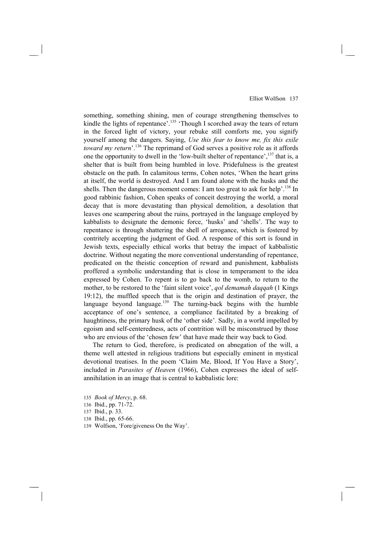# Elliot Wolfson 137

something, something shining, men of courage strengthening themselves to kindle the lights of repentance'.<sup>135</sup> 'Though I scorched away the tears of return in the forced light of victory, your rebuke still comforts me, you signify yourself among the dangers. Saying, *Use this fear to know me, fix this exile toward my return*'.136 The reprimand of God serves a positive role as it affords one the opportunity to dwell in the 'low-built shelter of repentance', $137$  that is, a shelter that is built from being humbled in love. Pridefulness is the greatest obstacle on the path. In calamitous terms, Cohen notes, 'When the heart grins at itself, the world is destroyed. And I am found alone with the husks and the shells. Then the dangerous moment comes: I am too great to ask for help'.<sup>138</sup> In good rabbinic fashion, Cohen speaks of conceit destroying the world, a moral decay that is more devastating than physical demolition, a desolation that leaves one scampering about the ruins, portrayed in the language employed by kabbalists to designate the demonic force, 'husks' and 'shells'. The way to repentance is through shattering the shell of arrogance, which is fostered by contritely accepting the judgment of God. A response of this sort is found in Jewish texts, especially ethical works that betray the impact of kabbalistic doctrine. Without negating the more conventional understanding of repentance, predicated on the theistic conception of reward and punishment, kabbalists proffered a symbolic understanding that is close in temperament to the idea expressed by Cohen. To repent is to go back to the womb, to return to the mother, to be restored to the 'faint silent voice', *qol demamah daqqah* (1 Kings 19:12), the muffled speech that is the origin and destination of prayer, the language beyond language.<sup>139</sup> The turning-back begins with the humble acceptance of one's sentence, a compliance facilitated by a breaking of haughtiness, the primary husk of the 'other side'. Sadly, in a world impelled by egoism and self-centeredness, acts of contrition will be misconstrued by those who are envious of the 'chosen few' that have made their way back to God.

The return to God, therefore, is predicated on abnegation of the will, a theme well attested in religious traditions but especially eminent in mystical devotional treatises. In the poem 'Claim Me, Blood, If You Have a Story', included in *Parasites of Heaven* (1966), Cohen expresses the ideal of selfannihilation in an image that is central to kabbalistic lore:

- 135 *Book of Mercy*, p. 68.
- 136 Ibid., pp. 71-72.
- 137 Ibid., p. 33.
- 138 Ibid., pp. 65-66.
- 139 Wolfson, 'Fore/giveness On the Way'.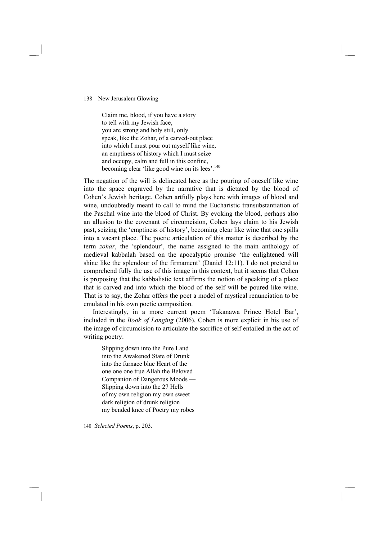Claim me, blood, if you have a story to tell with my Jewish face, you are strong and holy still, only speak, like the Zohar, of a carved-out place into which I must pour out myself like wine, an emptiness of history which I must seize and occupy, calm and full in this confine, becoming clear 'like good wine on its lees'.<sup>140</sup>

The negation of the will is delineated here as the pouring of oneself like wine into the space engraved by the narrative that is dictated by the blood of Cohen's Jewish heritage. Cohen artfully plays here with images of blood and wine, undoubtedly meant to call to mind the Eucharistic transubstantiation of the Paschal wine into the blood of Christ. By evoking the blood, perhaps also an allusion to the covenant of circumcision, Cohen lays claim to his Jewish past, seizing the 'emptiness of history', becoming clear like wine that one spills into a vacant place. The poetic articulation of this matter is described by the term *zohar*, the 'splendour', the name assigned to the main anthology of medieval kabbalah based on the apocalyptic promise 'the enlightened will shine like the splendour of the firmament' (Daniel 12:11). I do not pretend to comprehend fully the use of this image in this context, but it seems that Cohen is proposing that the kabbalistic text affirms the notion of speaking of a place that is carved and into which the blood of the self will be poured like wine. That is to say, the Zohar offers the poet a model of mystical renunciation to be emulated in his own poetic composition.

Interestingly, in a more current poem 'Takanawa Prince Hotel Bar', included in the *Book of Longing* (2006), Cohen is more explicit in his use of the image of circumcision to articulate the sacrifice of self entailed in the act of writing poetry:

Slipping down into the Pure Land into the Awakened State of Drunk into the furnace blue Heart of the one one one true Allah the Beloved Companion of Dangerous Moods — Slipping down into the 27 Hells of my own religion my own sweet dark religion of drunk religion my bended knee of Poetry my robes

140 *Selected Poems*, p. 203.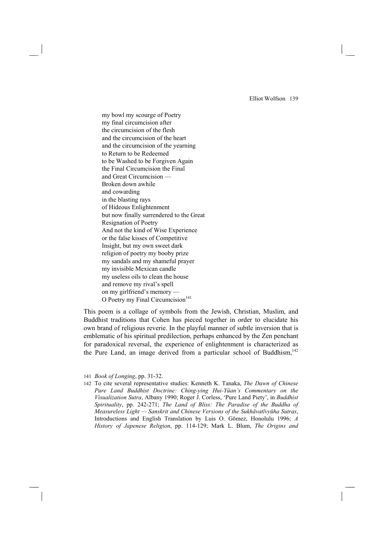Elliot Wolfson 139

my bowl my scourge of Poetry my final circumcision after the circumcision of the flesh and the circumcision of the heart and the circumcision of the yearning to Return to be Redeemed to be Washed to be Forgiven Again the Final Circumcision the Final and Great Circumcision — Broken down awhile and cowarding in the blasting rays of Hideous Enlightenment but now finally surrendered to the Great Resignation of Poetry And not the kind of Wise Experience or the false kisses of Competitive Insight, but my own sweet dark religion of poetry my booby prize my sandals and my shameful prayer my invisible Mexican candle my useless oils to clean the house and remove my rival's spell on my girlfriend's memory — O Poetry my Final Circumcision<sup>141</sup>

This poem is a collage of symbols from the Jewish, Christian, Muslim, and Buddhist traditions that Cohen has pieced together in order to elucidate his own brand of religious reverie. In the playful manner of subtle inversion that is emblematic of his spiritual predilection, perhaps enhanced by the Zen penchant for paradoxical reversal, the experience of enlightenment is characterized as the Pure Land, an image derived from a particular school of Buddhism,<sup>142</sup>

- 141 *Book of Longing*, pp. 31-32.
- 142 To cite several representative studies: Kenneth K. Tanaka, *The Dawn of Chinese Pure Land Buddhist Doctrine: Ching-ying Hui-Yüan's Commentary on the Visualization Sutra*, Albany 1990; Roger J. Corless, 'Pure Land Piety', in *Buddhist Spirituality*, pp. 242-271; *The Land of Bliss: The Paradise of the Buddha of Measureless Light — Sanskrit and Chinese Versions of the Sukhāvatīvyūha Sutras*, Introductions and English Translation by Luis O. Gōmez, Honolulu 1996; *A History of Japenese Religion*, pp. 114-129; Mark L. Blum, *The Origins and*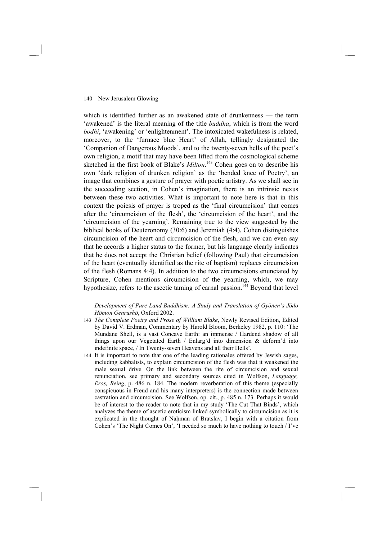which is identified further as an awakened state of drunkenness — the term 'awakened' is the literal meaning of the title *buddha*, which is from the word *bodhi*, 'awakening' or 'enlightenment'. The intoxicated wakefulness is related, moreover, to the 'furnace blue Heart' of Allah, tellingly designated the 'Companion of Dangerous Moods', and to the twenty-seven hells of the poet's own religion, a motif that may have been lifted from the cosmological scheme sketched in the first book of Blake's *Milton*.<sup>143</sup> Cohen goes on to describe his own 'dark religion of drunken religion' as the 'bended knee of Poetry', an image that combines a gesture of prayer with poetic artistry. As we shall see in the succeeding section, in Cohen's imagination, there is an intrinsic nexus between these two activities. What is important to note here is that in this context the poiesis of prayer is troped as the 'final circumcision' that comes after the 'circumcision of the flesh', the 'circumcision of the heart', and the 'circumcision of the yearning'. Remaining true to the view suggested by the biblical books of Deuteronomy (30:6) and Jeremiah (4:4), Cohen distinguishes circumcision of the heart and circumcision of the flesh, and we can even say that he accords a higher status to the former, but his language clearly indicates that he does not accept the Christian belief (following Paul) that circumcision of the heart (eventually identified as the rite of baptism) replaces circumcision of the flesh (Romans 4:4). In addition to the two circumcisions enunciated by Scripture, Cohen mentions circumcision of the yearning, which, we may hypothesize, refers to the ascetic taming of carnal passion.<sup>144</sup> Beyond that level

# *Development of Pure Land Buddhism: A Study and Translation of Gyōnen's Jōdo Hōmon Genrushō*, Oxford 2002.

- 143 *The Complete Poetry and Prose of William Blake*, Newly Revised Edition, Edited by David V. Erdman, Commentary by Harold Bloom, Berkeley 1982, p. 110: 'The Mundane Shell, is a vast Concave Earth: an immense / Hardend shadow of all things upon our Vegetated Earth / Enlarg'd into dimension & deform'd into indefinite space, / In Twenty-seven Heavens and all their Hells'.
- 144 It is important to note that one of the leading rationales offered by Jewish sages, including kabbalists, to explain circumcision of the flesh was that it weakened the male sexual drive. On the link between the rite of circumcision and sexual renunciation, see primary and secondary sources cited in Wolfson, *Language, Eros, Being*, p. 486 n. 184. The modern reverberation of this theme (especially conspicuous in Freud and his many interpreters) is the connection made between castration and circumcision. See Wolfson, op. cit., p. 485 n. 173. Perhaps it would be of interest to the reader to note that in my study 'The Cut That Binds', which analyzes the theme of ascetic eroticism linked symbolically to circumcision as it is explicated in the thought of Nahman of Bratslav, I begin with a citation from Cohen's 'The Night Comes On', 'I needed so much to have nothing to touch / I've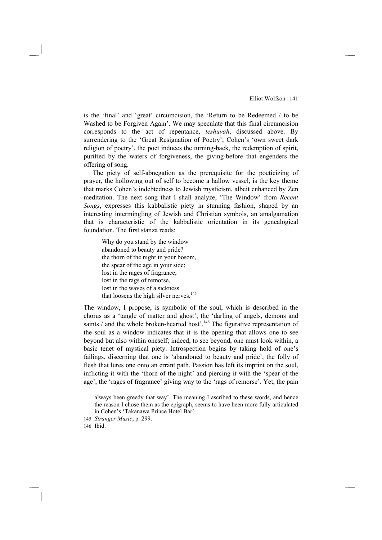is the 'final' and 'great' circumcision, the 'Return to be Redeemed / to be Washed to be Forgiven Again'. We may speculate that this final circumcision corresponds to the act of repentance, *teshuvah*, discussed above. By surrendering to the 'Great Resignation of Poetry', Cohen's 'own sweet dark religion of poetry', the poet induces the turning-back, the redemption of spirit, purified by the waters of forgiveness, the giving-before that engenders the offering of song.

The piety of self-abnegation as the prerequisite for the poeticizing of prayer, the hollowing out of self to become a hallow vessel, is the key theme that marks Cohen's indebtedness to Jewish mysticism, albeit enhanced by Zen meditation. The next song that I shall analyze, 'The Window' from *Recent Songs*, expresses this kabbalistic piety in stunning fashion, shaped by an interesting intermingling of Jewish and Christian symbols, an amalgamation that is characteristic of the kabbalistic orientation in its genealogical foundation. The first stanza reads:

Why do you stand by the window abandoned to beauty and pride? the thorn of the night in your bosom, the spear of the age in your side; lost in the rages of fragrance, lost in the rags of remorse, lost in the waves of a sickness that loosens the high silver nerves.<sup>145</sup>

The window, I propose, is symbolic of the soul, which is described in the chorus as a 'tangle of matter and ghost', the 'darling of angels, demons and saints / and the whole broken-hearted host'.<sup>146</sup> The figurative representation of the soul as a window indicates that it is the opening that allows one to see beyond but also within oneself; indeed, to see beyond, one must look within, a basic tenet of mystical piety. Introspection begins by taking hold of one's failings, discerning that one is 'abandoned to beauty and pride', the folly of flesh that lures one onto an errant path. Passion has left its imprint on the soul, inflicting it with the 'thorn of the night' and piercing it with the 'spear of the age', the 'rages of fragrance' giving way to the 'rags of remorse'. Yet, the pain

146 Ibid.

always been greedy that way'. The meaning I ascribed to these words, and hence the reason I chose them as the epigraph, seems to have been more fully articulated in Cohen's 'Takanawa Prince Hotel Bar'.

<sup>145</sup> *Stranger Music*, p. 299.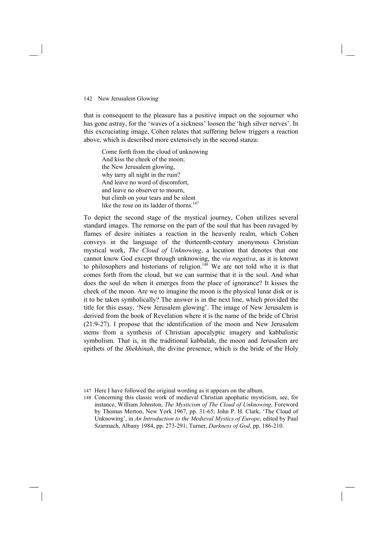that is consequent to the pleasure has a positive impact on the sojourner who has gone astray, for the 'waves of a sickness' loosen the 'high silver nerves'. In this excruciating image, Cohen relates that suffering below triggers a reaction above, which is described more extensively in the second stanza:

Come forth from the cloud of unknowing And kiss the cheek of the moon; the New Jerusalem glowing, why tarry all night in the ruin? And leave no word of discomfort, and leave no observer to mourn, but climb on your tears and be silent like the rose on its ladder of thorns.<sup>147</sup>

To depict the second stage of the mystical journey, Cohen utilizes several standard images. The remorse on the part of the soul that has been ravaged by flames of desire initiates a reaction in the heavenly realm, which Cohen conveys in the language of the thirteenth-century anonymous Christian mystical work, *The Cloud of Unknowing*, a locution that denotes that one cannot know God except through unknowing, the *via negativa*, as it is known to philosophers and historians of religion.<sup>148</sup> We are not told who it is that comes forth from the cloud, but we can surmise that it is the soul. And what does the soul do when it emerges from the place of ignorance? It kisses the cheek of the moon. Are we to imagine the moon is the physical lunar disk or is it to be taken symbolically? The answer is in the next line, which provided the title for this essay, 'New Jerusalem glowing'. The image of New Jerusalem is derived from the book of Revelation where it is the name of the bride of Christ (21:9-27). I propose that the identification of the moon and New Jerusalem stems from a synthesis of Christian apocalyptic imagery and kabbalistic symbolism. That is, in the traditional kabbalah, the moon and Jerusalem are epithets of the *Shekhinah*, the divine presence, which is the bride of the Holy

147 Here I have followed the original wording as it appears on the album.

148 Concerning this classic work of medieval Christian apophatic mysticism, see, for instance, William Johnston, *The Mysticism of The Cloud of Unknowing*, Foreword by Thomas Merton, New York 1967, pp. 31-65; John P. H. Clark, 'The Cloud of Unknowing', in *An Introduction to the Medieval Mystics of Europe*, edited by Paul Szarmach, Albany 1984, pp. 273-291; Turner, *Darkness of God*, pp. 186-210.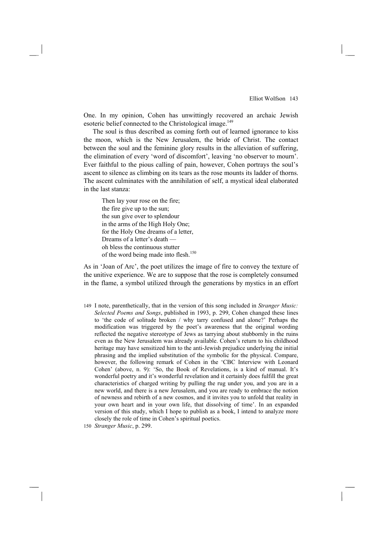One. In my opinion, Cohen has unwittingly recovered an archaic Jewish esoteric belief connected to the Christological image.<sup>149</sup>

The soul is thus described as coming forth out of learned ignorance to kiss the moon, which is the New Jerusalem, the bride of Christ. The contact between the soul and the feminine glory results in the alleviation of suffering, the elimination of every 'word of discomfort', leaving 'no observer to mourn'. Ever faithful to the pious calling of pain, however, Cohen portrays the soul's ascent to silence as climbing on its tears as the rose mounts its ladder of thorns. The ascent culminates with the annihilation of self, a mystical ideal elaborated in the last stanza:

Then lay your rose on the fire; the fire give up to the sun; the sun give over to splendour in the arms of the High Holy One; for the Holy One dreams of a letter, Dreams of a letter's death oh bless the continuous stutter of the word being made into flesh.<sup>150</sup>

As in 'Joan of Arc', the poet utilizes the image of fire to convey the texture of the unitive experience. We are to suppose that the rose is completely consumed in the flame, a symbol utilized through the generations by mystics in an effort

149 I note, parenthetically, that in the version of this song included in *Stranger Music: Selected Poems and Songs*, published in 1993, p. 299, Cohen changed these lines to 'the code of solitude broken / why tarry confused and alone?' Perhaps the modification was triggered by the poet's awareness that the original wording reflected the negative stereotype of Jews as tarrying about stubbornly in the ruins even as the New Jerusalem was already available. Cohen's return to his childhood heritage may have sensitized him to the anti-Jewish prejudice underlying the initial phrasing and the implied substitution of the symbolic for the physical. Compare, however, the following remark of Cohen in the 'CBC Interview with Leonard Cohen' (above, n. 9): 'So, the Book of Revelations, is a kind of manual. It's wonderful poetry and it's wonderful revelation and it certainly does fulfill the great characteristics of charged writing by pulling the rug under you, and you are in a new world, and there is a new Jerusalem, and you are ready to embrace the notion of newness and rebirth of a new cosmos, and it invites you to unfold that reality in your own heart and in your own life, that dissolving of time'. In an expanded version of this study, which I hope to publish as a book, I intend to analyze more closely the role of time in Cohen's spiritual poetics.

150 *Stranger Music*, p. 299.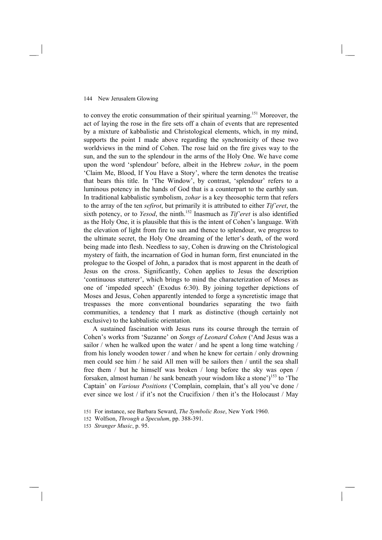to convey the erotic consummation of their spiritual yearning.151 Moreover, the act of laying the rose in the fire sets off a chain of events that are represented by a mixture of kabbalistic and Christological elements, which, in my mind, supports the point I made above regarding the synchronicity of these two worldviews in the mind of Cohen. The rose laid on the fire gives way to the sun, and the sun to the splendour in the arms of the Holy One. We have come upon the word 'splendour' before, albeit in the Hebrew *zohar*, in the poem 'Claim Me, Blood, If You Have a Story', where the term denotes the treatise that bears this title. In 'The Window', by contrast, 'splendour' refers to a luminous potency in the hands of God that is a counterpart to the earthly sun. In traditional kabbalistic symbolism, *zohar* is a key theosophic term that refers to the array of the ten *sefirot*, but primarily it is attributed to either *Tif'eret*, the sixth potency, or to *Yesod*, the ninth.<sup>152</sup> Inasmuch as *Tif'eret* is also identified as the Holy One, it is plausible that this is the intent of Cohen's language. With the elevation of light from fire to sun and thence to splendour, we progress to the ultimate secret, the Holy One dreaming of the letter's death, of the word being made into flesh. Needless to say, Cohen is drawing on the Christological mystery of faith, the incarnation of God in human form, first enunciated in the prologue to the Gospel of John, a paradox that is most apparent in the death of Jesus on the cross. Significantly, Cohen applies to Jesus the description 'continuous stutterer', which brings to mind the characterization of Moses as one of 'impeded speech' (Exodus 6:30). By joining together depictions of Moses and Jesus, Cohen apparently intended to forge a syncretistic image that trespasses the more conventional boundaries separating the two faith communities, a tendency that I mark as distinctive (though certainly not exclusive) to the kabbalistic orientation.

A sustained fascination with Jesus runs its course through the terrain of Cohen's works from 'Suzanne' on *Songs of Leonard Cohen* ('And Jesus was a sailor / when he walked upon the water / and he spent a long time watching / from his lonely wooden tower / and when he knew for certain / only drowning men could see him / he said All men will be sailors then / until the sea shall free them / but he himself was broken / long before the sky was open / forsaken, almost human / he sank beneath your wisdom like a stone')<sup>153</sup> to 'The Captain' on *Various Positions* ('Complain, complain, that's all you've done / ever since we lost / if it's not the Crucifixion / then it's the Holocaust / May

<sup>151</sup> For instance, see Barbara Seward, *The Symbolic Rose*, New York 1960.

<sup>152</sup> Wolfson, *Through a Speculum*, pp. 388-391.

<sup>153</sup> *Stranger Music*, p. 95.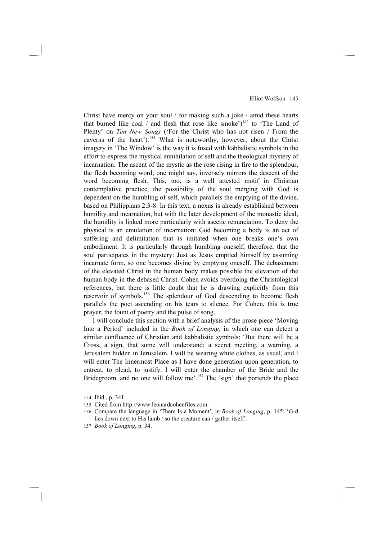Elliot Wolfson 145

Christ have mercy on your soul / for making such a joke / amid these hearts that burned like coal / and flesh that rose like smoke')<sup>154</sup> to 'The Land of Plenty' on *Ten New Songs* ('For the Christ who has not risen / From the caverns of the heart').<sup>155</sup> What is noteworthy, however, about the Christ imagery in 'The Window' is the way it is fused with kabbalistic symbols in the effort to express the mystical annihilation of self and the theological mystery of incarnation. The ascent of the mystic as the rose rising in fire to the splendour, the flesh becoming word, one might say, inversely mirrors the descent of the word becoming flesh. This, too, is a well attested motif in Christian contemplative practice, the possibility of the soul merging with God is dependent on the humbling of self, which parallels the emptying of the divine, based on Philippians 2:3-8. In this text, a nexus is already established between humility and incarnation, but with the later development of the monastic ideal, the humility is linked more particularly with ascetic renunciation. To deny the physical is an emulation of incarnation: God becoming a body is an act of suffering and delimitation that is imitated when one breaks one's own embodiment. It is particularly through humbling oneself, therefore, that the soul participates in the mystery: Just as Jesus emptied himself by assuming incarnate form, so one becomes divine by emptying oneself. The debasement of the elevated Christ in the human body makes possible the elevation of the human body in the debased Christ. Cohen avoids overdoing the Christological references, but there is little doubt that he is drawing explicitly from this reservoir of symbols.<sup>156</sup> The splendour of God descending to become flesh parallels the poet ascending on his tears to silence. For Cohen, this is true prayer, the fount of poetry and the pulse of song.

I will conclude this section with a brief analysis of the prose piece 'Moving Into a Period' included in the *Book of Longing*, in which one can detect a similar confluence of Christian and kabbalistic symbols: 'But there will be a Cross, a sign, that some will understand; a secret meeting, a warning, a Jerusalem hidden in Jerusalem. I will be wearing white clothes, as usual, and I will enter The Innermost Place as I have done generation upon generation, to entreat, to plead, to justify. I will enter the chamber of the Bride and the Bridegroom, and no one will follow me'.<sup>157</sup> The 'sign' that portends the place

- 156 Compare the language in 'There Is a Moment', in *Book of Longing*, p. 145: 'G-d lies down next to His lamb / so the creature can / gather itself'.
- 157 *Book of Longing*, p. 34.

<sup>154</sup> Ibid., p. 341.

<sup>155</sup> Cited from http://www.leonardcohenfiles.com.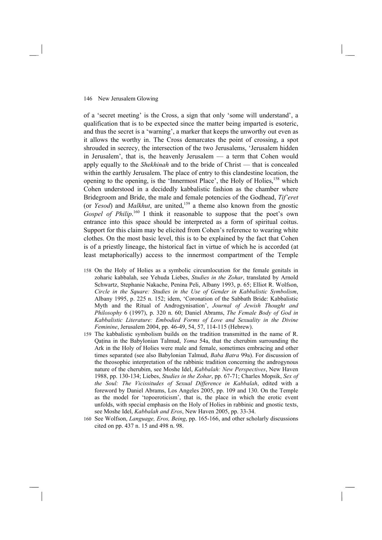of a 'secret meeting' is the Cross, a sign that only 'some will understand', a qualification that is to be expected since the matter being imparted is esoteric, and thus the secret is a 'warning', a marker that keeps the unworthy out even as it allows the worthy in. The Cross demarcates the point of crossing, a spot shrouded in secrecy, the intersection of the two Jerusalems, 'Jerusalem hidden in Jerusalem', that is, the heavenly Jerusalem — a term that Cohen would apply equally to the *Shekhinah* and to the bride of Christ — that is concealed within the earthly Jerusalem. The place of entry to this clandestine location, the opening to the opening, is the 'Innermost Place', the Holy of Holies,<sup>158</sup> which Cohen understood in a decidedly kabbalistic fashion as the chamber where Bridegroom and Bride, the male and female potencies of the Godhead, *Tif'eret* (or *Yesod*) and *Malkhut*, are united,159 a theme also known from the gnostic Gospel of Philip.<sup>160</sup> I think it reasonable to suppose that the poet's own entrance into this space should be interpreted as a form of spiritual coitus. Support for this claim may be elicited from Cohen's reference to wearing white clothes. On the most basic level, this is to be explained by the fact that Cohen is of a priestly lineage, the historical fact in virtue of which he is accorded (at least metaphorically) access to the innermost compartment of the Temple

- 158 On the Holy of Holies as a symbolic circumlocution for the female genitals in zoharic kabbalah, see Yehuda Liebes, *Studies in the Zohar*, translated by Arnold Schwartz, Stephanie Nakache, Penina Peli, Albany 1993, p. 65; Elliot R. Wolfson, *Circle in the Square: Studies in the Use of Gender in Kabbalistic Symbolism*, Albany 1995, p. 225 n. 152; idem, 'Coronation of the Sabbath Bride: Kabbalistic Myth and the Ritual of Androgynisation', *Journal of Jewish Thought and Philosophy* 6 (1997), p. 320 n. 60; Daniel Abrams, *The Female Body of God in Kabbalistic Literature: Embodied Forms of Love and Sexuality in the Divine Feminine*, Jerusalem 2004, pp. 46-49, 54, 57, 114-115 (Hebrew).
- 159 The kabbalistic symbolism builds on the tradition transmitted in the name of R. Qatina in the Babylonian Talmud, *Yoma* 54a, that the cherubim surrounding the Ark in the Holy of Holies were male and female, sometimes embracing and other times separated (see also Babylonian Talmud, *Baba Batra* 99a). For discussion of the theosophic interpretation of the rabbinic tradition concerning the androgynous nature of the cherubim, see Moshe Idel, *Kabbalah: New Perspectives*, New Haven 1988, pp. 130-134; Liebes, *Studies in the Zohar*, pp. 67-71; Charles Mopsik, *Sex of the Soul: The Vicissitudes of Sexual Difference in Kabbalah*, edited with a foreword by Daniel Abrams, Los Angeles 2005, pp. 109 and 130. On the Temple as the model for 'topoeroticism', that is, the place in which the erotic event unfolds, with special emphasis on the Holy of Holies in rabbinic and gnostic texts, see Moshe Idel, *Kabbalah and Eros*, New Haven 2005, pp. 33-34.
- 160 See Wolfson, *Language, Eros, Being*, pp. 165-166, and other scholarly discussions cited on pp. 437 n. 15 and 498 n. 98.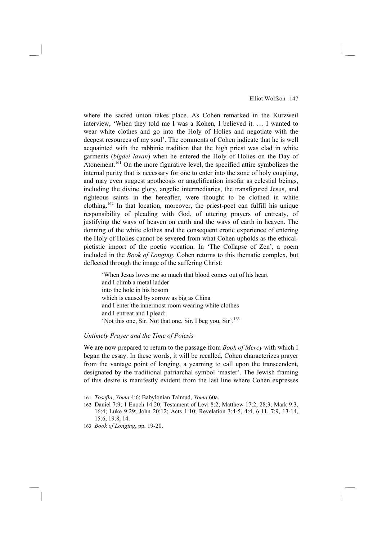Elliot Wolfson 147

where the sacred union takes place. As Cohen remarked in the Kurzweil interview, 'When they told me I was a Kohen, I believed it. … I wanted to wear white clothes and go into the Holy of Holies and negotiate with the deepest resources of my soul'. The comments of Cohen indicate that he is well acquainted with the rabbinic tradition that the high priest was clad in white garments (*bigdei lavan*) when he entered the Holy of Holies on the Day of Atonement.161 On the more figurative level, the specified attire symbolizes the internal purity that is necessary for one to enter into the zone of holy coupling, and may even suggest apotheosis or angelification insofar as celestial beings, including the divine glory, angelic intermediaries, the transfigured Jesus, and righteous saints in the hereafter, were thought to be clothed in white clothing.162 In that location, moreover, the priest-poet can fulfill his unique responsibility of pleading with God, of uttering prayers of entreaty, of justifying the ways of heaven on earth and the ways of earth in heaven. The donning of the white clothes and the consequent erotic experience of entering the Holy of Holies cannot be severed from what Cohen upholds as the ethicalpietistic import of the poetic vocation. In 'The Collapse of Zen', a poem included in the *Book of Longing*, Cohen returns to this thematic complex, but deflected through the image of the suffering Christ:

'When Jesus loves me so much that blood comes out of his heart and I climb a metal ladder into the hole in his bosom which is caused by sorrow as big as China and I enter the innermost room wearing white clothes and I entreat and I plead: 'Not this one, Sir. Not that one, Sir. I beg you, Sir'.163

# *Untimely Prayer and the Time of Poiesis*

We are now prepared to return to the passage from *Book of Mercy* with which I began the essay. In these words, it will be recalled, Cohen characterizes prayer from the vantage point of longing, a yearning to call upon the transcendent, designated by the traditional patriarchal symbol 'master'. The Jewish framing of this desire is manifestly evident from the last line where Cohen expresses

- 161 *Tosefta*, *Yoma* 4:6; Babylonian Talmud, *Yoma* 60a.
- 162 Daniel 7:9; 1 Enoch 14:20; Testament of Levi 8:2; Matthew 17:2, 28;3; Mark 9:3, 16:4; Luke 9:29; John 20:12; Acts 1:10; Revelation 3:4-5, 4:4, 6:11, 7:9, 13-14, 15:6, 19:8, 14.
- 163 *Book of Longing*, pp. 19-20.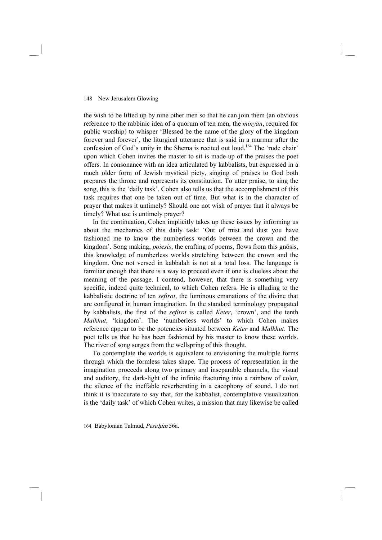the wish to be lifted up by nine other men so that he can join them (an obvious reference to the rabbinic idea of a quorum of ten men, the *minyan*, required for public worship) to whisper 'Blessed be the name of the glory of the kingdom forever and forever', the liturgical utterance that is said in a murmur after the confession of God's unity in the Shema is recited out loud.<sup>164</sup> The 'rude chair' upon which Cohen invites the master to sit is made up of the praises the poet offers. In consonance with an idea articulated by kabbalists, but expressed in a much older form of Jewish mystical piety, singing of praises to God both prepares the throne and represents its constitution. To utter praise, to sing the song, this is the 'daily task'. Cohen also tells us that the accomplishment of this task requires that one be taken out of time. But what is in the character of prayer that makes it untimely? Should one not wish of prayer that it always be timely? What use is untimely prayer?

In the continuation, Cohen implicitly takes up these issues by informing us about the mechanics of this daily task: 'Out of mist and dust you have fashioned me to know the numberless worlds between the crown and the kingdom'. Song making, *poiesis*, the crafting of poems, flows from this gnōsis, this knowledge of numberless worlds stretching between the crown and the kingdom. One not versed in kabbalah is not at a total loss. The language is familiar enough that there is a way to proceed even if one is clueless about the meaning of the passage. I contend, however, that there is something very specific, indeed quite technical, to which Cohen refers. He is alluding to the kabbalistic doctrine of ten *sefirot*, the luminous emanations of the divine that are configured in human imagination. In the standard terminology propagated by kabbalists, the first of the *sefirot* is called *Keter*, 'crown', and the tenth *Malkhut*, 'kingdom'. The 'numberless worlds' to which Cohen makes reference appear to be the potencies situated between *Keter* and *Malkhut*. The poet tells us that he has been fashioned by his master to know these worlds. The river of song surges from the wellspring of this thought.

To contemplate the worlds is equivalent to envisioning the multiple forms through which the formless takes shape. The process of representation in the imagination proceeds along two primary and inseparable channels, the visual and auditory, the dark-light of the infinite fracturing into a rainbow of color, the silence of the ineffable reverberating in a cacophony of sound. I do not think it is inaccurate to say that, for the kabbalist, contemplative visualization is the 'daily task' of which Cohen writes, a mission that may likewise be called

164 Babylonian Talmud, *Pesa*him 56a.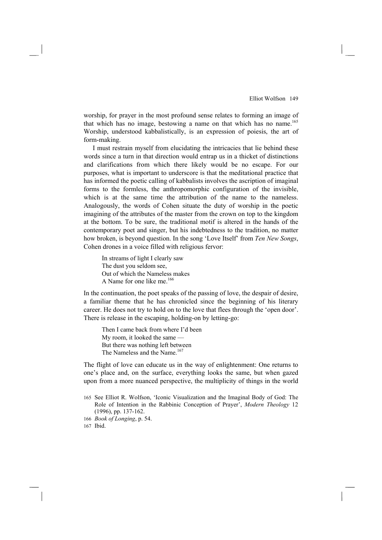Elliot Wolfson 149

worship, for prayer in the most profound sense relates to forming an image of that which has no image, bestowing a name on that which has no name.<sup>165</sup> Worship, understood kabbalistically, is an expression of poiesis, the art of form-making.

I must restrain myself from elucidating the intricacies that lie behind these words since a turn in that direction would entrap us in a thicket of distinctions and clarifications from which there likely would be no escape. For our purposes, what is important to underscore is that the meditational practice that has informed the poetic calling of kabbalists involves the ascription of imaginal forms to the formless, the anthropomorphic configuration of the invisible, which is at the same time the attribution of the name to the nameless. Analogously, the words of Cohen situate the duty of worship in the poetic imagining of the attributes of the master from the crown on top to the kingdom at the bottom. To be sure, the traditional motif is altered in the hands of the contemporary poet and singer, but his indebtedness to the tradition, no matter how broken, is beyond question. In the song 'Love Itself' from *Ten New Songs*, Cohen drones in a voice filled with religious fervor:

In streams of light I clearly saw The dust you seldom see, Out of which the Nameless makes A Name for one like me.<sup>166</sup>

In the continuation, the poet speaks of the passing of love, the despair of desire, a familiar theme that he has chronicled since the beginning of his literary career. He does not try to hold on to the love that flees through the 'open door'. There is release in the escaping, holding-on by letting-go:

Then I came back from where I'd been My room, it looked the same — But there was nothing left between The Nameless and the Name.<sup>167</sup>

The flight of love can educate us in the way of enlightenment: One returns to one's place and, on the surface, everything looks the same, but when gazed upon from a more nuanced perspective, the multiplicity of things in the world

<sup>165</sup> See Elliot R. Wolfson, 'Iconic Visualization and the Imaginal Body of God: The Role of Intention in the Rabbinic Conception of Prayer', *Modern Theology* 12 (1996), pp. 137-162.

<sup>166</sup> *Book of Longing*, p. 54.

<sup>167</sup> Ibid.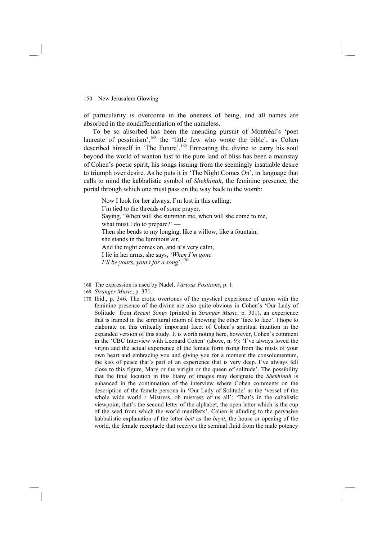of particularity is overcome in the oneness of being, and all names are absorbed in the nondifferentiation of the nameless.

To be so absorbed has been the unending pursuit of Montréal's 'poet laureate of pessimism',<sup>168</sup> the 'little Jew who wrote the bible', as Cohen described himself in 'The Future'.169 Entreating the divine to carry his soul beyond the world of wanton lust to the pure land of bliss has been a mainstay of Cohen's poetic spirit, his songs issuing from the seemingly insatiable desire to triumph over desire. As he puts it in 'The Night Comes On', in language that calls to mind the kabbalistic symbol of *Shekhinah*, the feminine presence, the portal through which one must pass on the way back to the womb:

Now I look for her always; I'm lost in this calling; I'm tied to the threads of some prayer. Saying, 'When will she summon me, when will she come to me, what must I do to prepare?' — Then she bends to my longing, like a willow, like a fountain, she stands in the luminous air. And the night comes on, and it's very calm, I lie in her arms, she says, '*When I'm gone I'll be yours, yours for a song*'.<sup>170</sup>

168 The expression is used by Nadel, *Various Positions*, p. 1.

- 169 *Stranger Music*, p. 371.
- 170 Ibid., p. 346. The erotic overtones of the mystical experience of union with the feminine presence of the divine are also quite obvious in Cohen's 'Our Lady of Solitude' from *Recent Songs* (printed in *Stranger Music*, p. 301), an experience that is framed in the scriptuiral idiom of knowing the other 'face to face'. I hope to elaborate on this critically important facet of Cohen's spiritual intuition in the expanded version of this study. It is worth noting here, however, Cohen's comment in the 'CBC Interview with Leonard Cohen' (above, n. 9): 'I've always loved the virgin and the actual experience of the female form rising from the mists of your own heart and embracing you and giving you for a moment the consolumentum, the kiss of peace that's part of an experience that is very deep. I've always felt close to this figure, Mary or the virigin or the queen of solitude'. The possibility that the final locution in this litany of images may designate the *Shekhinah* is enhanced in the continuation of the interview where Cohen comments on the description of the female persona in 'Our Lady of Solitude' as the 'vessel of the whole wide world / Mistress, oh mistress of us all': 'That's in the cabalistic viewpoint, that's the second letter of the alphabet, the open letter which is the cup of the seed from which the world manifests'. Cohen is alluding to the pervasive kabbalistic explanation of the letter *beit* as the *bayit*, the house or opening of the world, the female receptacle that receives the seminal fluid from the male potency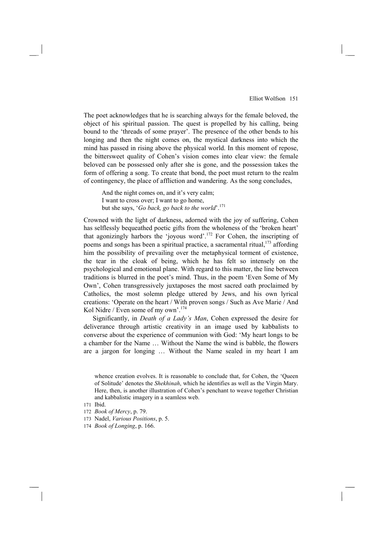The poet acknowledges that he is searching always for the female beloved, the object of his spiritual passion. The quest is propelled by his calling, being bound to the 'threads of some prayer'. The presence of the other bends to his longing and then the night comes on, the mystical darkness into which the mind has passed in rising above the physical world. In this moment of repose, the bittersweet quality of Cohen's vision comes into clear view: the female beloved can be possessed only after she is gone, and the possession takes the form of offering a song. To create that bond, the poet must return to the realm of contingency, the place of affliction and wandering. As the song concludes,

And the night comes on, and it's very calm; I want to cross over; I want to go home, but she says, '*Go back, go back to the world*'.171

Crowned with the light of darkness, adorned with the joy of suffering, Cohen has selflessly bequeathed poetic gifts from the wholeness of the 'broken heart' that agonizingly harbors the 'joyous word'.172 For Cohen, the inscripting of poems and songs has been a spiritual practice, a sacramental ritual,<sup>173</sup> affording him the possibility of prevailing over the metaphysical torment of existence, the tear in the cloak of being, which he has felt so intensely on the psychological and emotional plane. With regard to this matter, the line between traditions is blurred in the poet's mind. Thus, in the poem 'Even Some of My Own', Cohen transgressively juxtaposes the most sacred oath proclaimed by Catholics, the most solemn pledge uttered by Jews, and his own lyrical creations: 'Operate on the heart / With proven songs / Such as Ave Marie / And Kol Nidre / Even some of my own'.174

Significantly, in *Death of a Lady's Man*, Cohen expressed the desire for deliverance through artistic creativity in an image used by kabbalists to converse about the experience of communion with God: 'My heart longs to be a chamber for the Name … Without the Name the wind is babble, the flowers are a jargon for longing … Without the Name sealed in my heart I am

- 173 Nadel, *Various Positions*, p. 5.
- 174 *Book of Longing*, p. 166.

whence creation evolves. It is reasonable to conclude that, for Cohen, the 'Queen of Solitude' denotes the *Shekhinah*, which he identifies as well as the Virgin Mary. Here, then, is another illustration of Cohen's penchant to weave together Christian and kabbalistic imagery in a seamless web.

<sup>171</sup> Ibid.

<sup>172</sup> *Book of Mercy*, p. 79.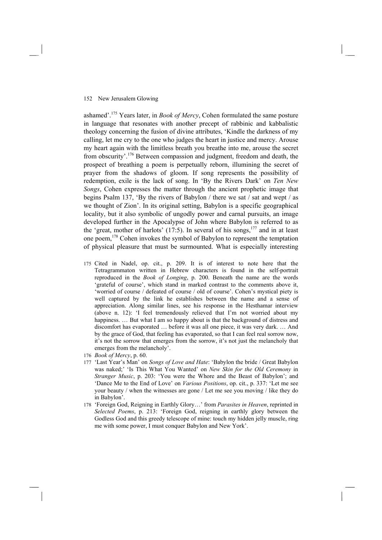ashamed'.175 Years later, in *Book of Mercy*, Cohen formulated the same posture in language that resonates with another precept of rabbinic and kabbalistic theology concerning the fusion of divine attributes, 'Kindle the darkness of my calling, let me cry to the one who judges the heart in justice and mercy. Arouse my heart again with the limitless breath you breathe into me, arouse the secret from obscurity'.176 Between compassion and judgment, freedom and death, the prospect of breathing a poem is perpetually reborn, illumining the secret of prayer from the shadows of gloom. If song represents the possibility of redemption, exile is the lack of song. In 'By the Rivers Dark' on *Ten New Songs*, Cohen expresses the matter through the ancient prophetic image that begins Psalm 137, 'By the rivers of Babylon / there we sat / sat and wept / as we thought of Zion'. In its original setting, Babylon is a specific geographical locality, but it also symbolic of ungodly power and carnal pursuits, an image developed further in the Apocalypse of John where Babylon is referred to as the 'great, mother of harlots'  $(17.5)$ . In several of his songs,<sup>177</sup> and in at least one poem,178 Cohen invokes the symbol of Babylon to represent the temptation of physical pleasure that must be surmounted. What is especially interesting

- 175 Cited in Nadel, op. cit., p. 209. It is of interest to note here that the Tetragrammaton written in Hebrew characters is found in the self-portrait reproduced in the *Book of Longing*, p. 200. Beneath the name are the words 'grateful of course', which stand in marked contrast to the comments above it, 'worried of course / defeated of course / old of course'. Cohen's mystical piety is well captured by the link he establishes between the name and a sense of appreciation. Along similar lines, see his response in the Hesthamar interview (above n. 12): 'I feel tremendously relieved that I'm not worried about my happiness. ... But what I am so happy about is that the background of distress and discomfort has evaporated … before it was all one piece, it was very dark. … And by the grace of God, that feeling has evaporated, so that I can feel real sorrow now, it's not the sorrow that emerges from the sorrow, it's not just the melancholy that emerges from the melancholy'.
- 176 *Book of Mercy*, p. 60.
- 177 'Last Year's Man' on *Songs of Love and Hate*: 'Babylon the bride / Great Babylon was naked;' 'Is This What You Wanted' on *New Skin for the Old Ceremony* in *Stranger Music*, p. 203: 'You were the Whore and the Beast of Babylon'; and 'Dance Me to the End of Love' on *Various Positions*, op. cit., p. 337: 'Let me see your beauty / when the witnesses are gone / Let me see you moving / like they do in Babylon'.
- 178 'Foreign God, Reigning in Earthly Glory…' from *Parasites in Heaven*, reprinted in *Selected Poems*, p. 213: 'Foreign God, reigning in earthly glory between the Godless God and this greedy telescope of mine: touch my hidden jelly muscle, ring me with some power, I must conquer Babylon and New York'.